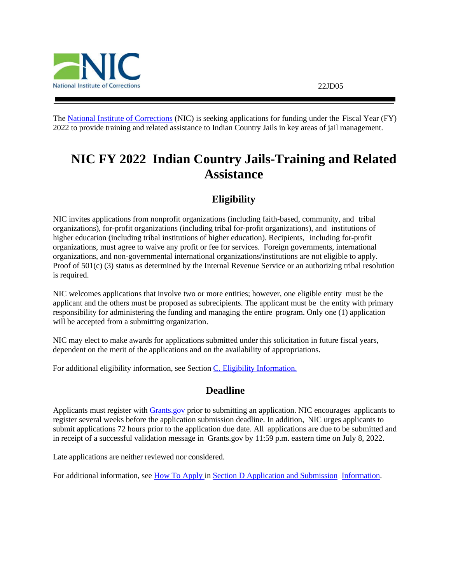22JD05



The [National Institute of Corrections](http://www.nicic.gov/) (NIC) is seeking applications for funding under the Fiscal Year (FY) 2022 to provide training and related assistance to Indian Country Jails in key areas of jail management.

# <span id="page-0-0"></span>**NIC FY 2022 Indian Country Jails-Training and Related Assistance**

# **Eligibility**

<span id="page-0-1"></span>NIC invites applications from nonprofit organizations (including faith-based, community, and tribal organizations), for-profit organizations (including tribal for-profit organizations), and institutions of higher education (including tribal institutions of higher education). Recipients, including for-profit organizations, must agree to waive any profit or fee for services. Foreign governments, international organizations, and non-governmental international organizations/institutions are not eligible to apply. Proof of 501(c) (3) status as determined by the Internal Revenue Service or an authorizing tribal resolution is required.

NIC welcomes applications that involve two or more entities; however, one eligible entity must be the applicant and the others must be proposed as subrecipients. The applicant must be the entity with primary responsibility for administering the funding and managing the entire program. Only one (1) application will be accepted from a submitting organization.

NIC may elect to make awards for applications submitted under this solicitation in future fiscal years, dependent on the merit of the applications and on the availability of appropriations.

<span id="page-0-2"></span>For additional eligibility information, see Section *C. Eligibility Information*.

## **Deadline**

Applicants must register with [Grants.gov](https://www.grants.gov/web/grants/register.html) prior to submitting an application. NIC encourages applicants to register several weeks before the application submission deadline. In addition, NIC urges applicants to submit applications 72 hours prior to the application due date. All applications are due to be submitted and in receipt of a successful validation message in Grants.gov by 11:59 p.m. eastern time on July 8, 2022.

Late applications are neither reviewed nor considered.

For additional information, see How [To Apply](#page-23-0) in Section D [Application](#page-14-0) and Submission Information.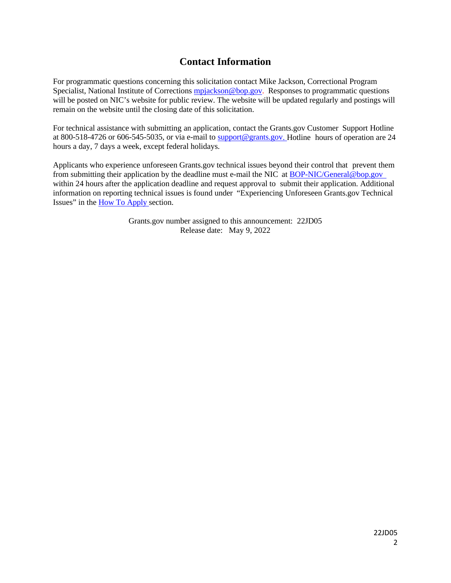# **Contact Information**

<span id="page-1-0"></span>For programmatic questions concerning this solicitation contact Mike Jackson, Correctional Program Specialist, National Institute of Corrections [mpjackson@bop.gov.](mailto:mpjackson@bop.gov) Responses to programmatic questions will be posted on NIC's website for public review. The website will be updated regularly and postings will remain on the website until the closing date of this solicitation.

For technical assistance with submitting an application, contact the Grants.gov Customer Support Hotline at 800-518-4726 or 606-545-5035, or via e-mail to [support@grants.gov.](mailto:support@grants.gov) Hotline hours of operation are 24 hours a day, 7 days a week, except federal holidays.

Applicants who experience unforeseen Grants.gov technical issues beyond their control that prevent them from submitting their application by the deadline must e-mail the NIC at [BOP-NIC/General@bop.gov](mailto:BOP-NIC/General@bop.gov)  within 24 hours after the application deadline and request approval to submit their application. Additional information on reporting technical issues is found under "Experiencing Unforeseen Grants.gov Technical Issues" in the How To [Apply s](#page-23-0)ection.

> Grants.gov number assigned to this announcement: 22JD05 Release date: May 9, 2022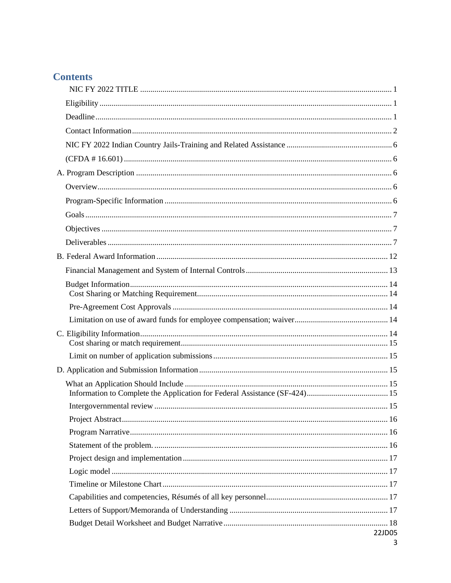# **Contents**

| 22JD05 |  |
|--------|--|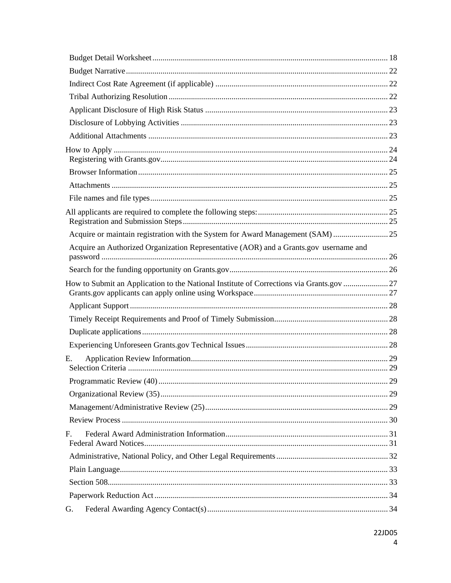| Acquire or maintain registration with the System for Award Management (SAM) 25        |  |
|---------------------------------------------------------------------------------------|--|
| Acquire an Authorized Organization Representative (AOR) and a Grants.gov username and |  |
|                                                                                       |  |
|                                                                                       |  |
|                                                                                       |  |
|                                                                                       |  |
|                                                                                       |  |
|                                                                                       |  |
| Е.                                                                                    |  |
|                                                                                       |  |
|                                                                                       |  |
|                                                                                       |  |
|                                                                                       |  |
| F.                                                                                    |  |
|                                                                                       |  |
|                                                                                       |  |
|                                                                                       |  |
|                                                                                       |  |
| G.                                                                                    |  |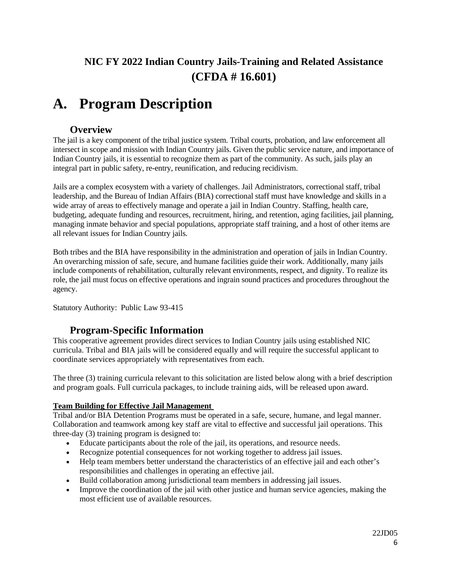# <span id="page-5-0"></span>**NIC FY 2022 Indian Country Jails-Training and Related Assistance (CFDA # 16.601)**

# <span id="page-5-2"></span><span id="page-5-1"></span>**A. Program Description**

## **Overview**

<span id="page-5-3"></span>The jail is a key component of the tribal justice system. Tribal courts, probation, and law enforcement all intersect in scope and mission with Indian Country jails. Given the public service nature, and importance of Indian Country jails, it is essential to recognize them as part of the community. As such, jails play an integral part in public safety, re-entry, reunification, and reducing recidivism.

Jails are a complex ecosystem with a variety of challenges. Jail Administrators, correctional staff, tribal leadership, and the Bureau of Indian Affairs (BIA) correctional staff must have knowledge and skills in a wide array of areas to effectively manage and operate a jail in Indian Country. Staffing, health care, budgeting, adequate funding and resources, recruitment, hiring, and retention, aging facilities, jail planning, managing inmate behavior and special populations, appropriate staff training, and a host of other items are all relevant issues for Indian Country jails.

Both tribes and the BIA have responsibility in the administration and operation of jails in Indian Country. An overarching mission of safe, secure, and humane facilities guide their work. Additionally, many jails include components of rehabilitation, culturally relevant environments, respect, and dignity. To realize its role, the jail must focus on effective operations and ingrain sound practices and procedures throughout the agency.

Statutory Authority: Public Law 93-415

## **Program-Specific Information**

<span id="page-5-4"></span>This cooperative agreement provides direct services to Indian Country jails using established NIC curricula. Tribal and BIA jails will be considered equally and will require the successful applicant to coordinate services appropriately with representatives from each.

The three (3) training curricula relevant to this solicitation are listed below along with a brief description and program goals. Full curricula packages, to include training aids, will be released upon award.

## **Team Building for Effective Jail Management**

Tribal and/or BIA Detention Programs must be operated in a safe, secure, humane, and legal manner. Collaboration and teamwork among key staff are vital to effective and successful jail operations. This three-day (3) training program is designed to:

- Educate participants about the role of the jail, its operations, and resource needs.
- Recognize potential consequences for not working together to address jail issues.
- Help team members better understand the characteristics of an effective jail and each other's responsibilities and challenges in operating an effective jail.
- Build collaboration among jurisdictional team members in addressing jail issues.
- Improve the coordination of the jail with other justice and human service agencies, making the most efficient use of available resources.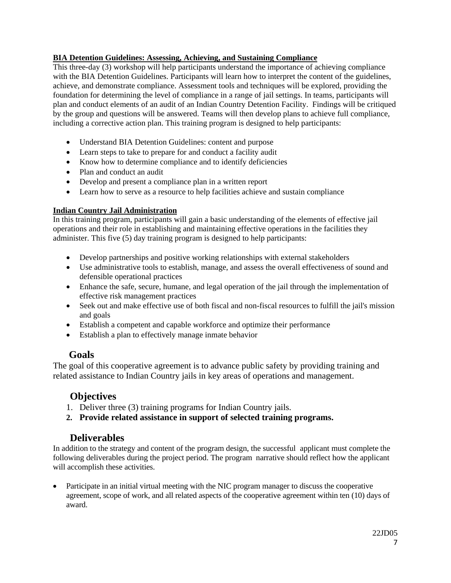## **BIA Detention Guidelines: Assessing, Achieving, and Sustaining Compliance**

This three-day (3) workshop will help participants understand the importance of achieving compliance with the BIA Detention Guidelines. Participants will learn how to interpret the content of the guidelines, achieve, and demonstrate compliance. Assessment tools and techniques will be explored, providing the foundation for determining the level of compliance in a range of jail settings. In teams, participants will plan and conduct elements of an audit of an Indian Country Detention Facility. Findings will be critiqued by the group and questions will be answered. Teams will then develop plans to achieve full compliance, including a corrective action plan. This training program is designed to help participants:

- Understand BIA Detention Guidelines: content and purpose
- Learn steps to take to prepare for and conduct a facility audit
- Know how to determine compliance and to identify deficiencies
- Plan and conduct an audit
- Develop and present a compliance plan in a written report
- Learn how to serve as a resource to help facilities achieve and sustain compliance

## **Indian Country Jail Administration**

In this training program, participants will gain a basic understanding of the elements of effective jail operations and their role in establishing and maintaining effective operations in the facilities they administer. This five (5) day training program is designed to help participants:

- Develop partnerships and positive working relationships with external stakeholders
- Use administrative tools to establish, manage, and assess the overall effectiveness of sound and defensible operational practices
- Enhance the safe, secure, humane, and legal operation of the jail through the implementation of effective risk management practices
- Seek out and make effective use of both fiscal and non-fiscal resources to fulfill the jail's mission and goals
- Establish a competent and capable workforce and optimize their performance
- Establish a plan to effectively manage inmate behavior

## <span id="page-6-0"></span>**Goals**

The goal of this cooperative agreement is to advance public safety by providing training and related assistance to Indian Country jails in key areas of operations and management.

## <span id="page-6-1"></span>**Objectives**

- 1. Deliver three (3) training programs for Indian Country jails.
- **2. Provide related assistance in support of selected training programs.**

## **Deliverables**

<span id="page-6-2"></span>In addition to the strategy and content of the program design, the successful applicant must complete the following deliverables during the project period. The program narrative should reflect how the applicant will accomplish these activities.

• Participate in an initial virtual meeting with the NIC program manager to discuss the cooperative agreement, scope of work, and all related aspects of the cooperative agreement within ten (10) days of award.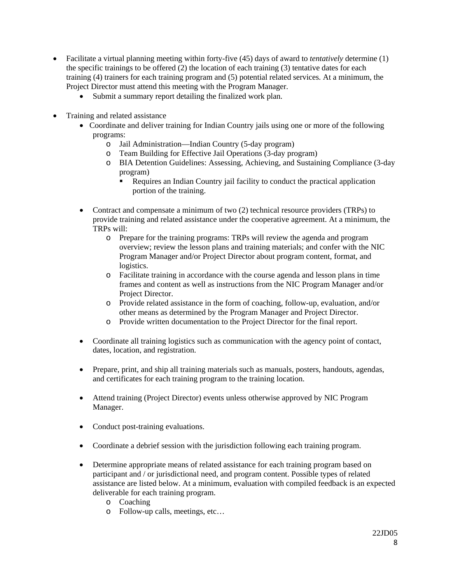- Facilitate a virtual planning meeting within forty-five (45) days of award to *tentatively* determine (1) the specific trainings to be offered (2) the location of each training (3) tentative dates for each training (4) trainers for each training program and (5) potential related services. At a minimum, the Project Director must attend this meeting with the Program Manager.
	- Submit a summary report detailing the finalized work plan.
- Training and related assistance
	- Coordinate and deliver training for Indian Country jails using one or more of the following programs:
		- o Jail Administration—Indian Country (5-day program)
		- o Team Building for Effective Jail Operations (3-day program)
		- o BIA Detention Guidelines: Assessing, Achieving, and Sustaining Compliance (3-day program)
			- Requires an Indian Country jail facility to conduct the practical application portion of the training.
	- Contract and compensate a minimum of two (2) technical resource providers (TRPs) to provide training and related assistance under the cooperative agreement. At a minimum, the TRPs will:
		- o Prepare for the training programs: TRPs will review the agenda and program overview; review the lesson plans and training materials; and confer with the NIC Program Manager and/or Project Director about program content, format, and logistics.
		- o Facilitate training in accordance with the course agenda and lesson plans in time frames and content as well as instructions from the NIC Program Manager and/or Project Director.
		- o Provide related assistance in the form of coaching, follow-up, evaluation, and/or other means as determined by the Program Manager and Project Director.
		- o Provide written documentation to the Project Director for the final report.
	- Coordinate all training logistics such as communication with the agency point of contact, dates, location, and registration.
	- Prepare, print, and ship all training materials such as manuals, posters, handouts, agendas, and certificates for each training program to the training location.
	- Attend training (Project Director) events unless otherwise approved by NIC Program Manager.
	- Conduct post-training evaluations.
	- Coordinate a debrief session with the jurisdiction following each training program.
	- Determine appropriate means of related assistance for each training program based on participant and / or jurisdictional need, and program content. Possible types of related assistance are listed below. At a minimum, evaluation with compiled feedback is an expected deliverable for each training program.
		- o Coaching
		- o Follow-up calls, meetings, etc…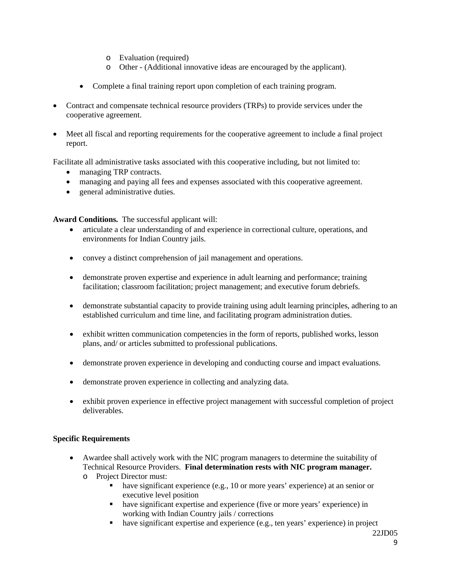- o Evaluation (required)
- o Other (Additional innovative ideas are encouraged by the applicant).
- Complete a final training report upon completion of each training program.
- Contract and compensate technical resource providers (TRPs) to provide services under the cooperative agreement.
- Meet all fiscal and reporting requirements for the cooperative agreement to include a final project report.

Facilitate all administrative tasks associated with this cooperative including, but not limited to:

- managing TRP contracts.
- managing and paying all fees and expenses associated with this cooperative agreement.
- general administrative duties.

**Award Conditions.** The successful applicant will:

- articulate a clear understanding of and experience in correctional culture, operations, and environments for Indian Country jails.
- convey a distinct comprehension of jail management and operations.
- demonstrate proven expertise and experience in adult learning and performance; training facilitation; classroom facilitation; project management; and executive forum debriefs.
- demonstrate substantial capacity to provide training using adult learning principles, adhering to an established curriculum and time line, and facilitating program administration duties.
- exhibit written communication competencies in the form of reports, published works, lesson plans, and/ or articles submitted to professional publications.
- demonstrate proven experience in developing and conducting course and impact evaluations.
- demonstrate proven experience in collecting and analyzing data.
- exhibit proven experience in effective project management with successful completion of project deliverables.

#### **Specific Requirements**

- Awardee shall actively work with the NIC program managers to determine the suitability of Technical Resource Providers. **Final determination rests with NIC program manager.** 
	- o Project Director must:
		- have significant experience (e.g., 10 or more years' experience) at an senior or executive level position
		- have significant expertise and experience (five or more years' experience) in working with Indian Country jails / corrections
		- have significant expertise and experience (e.g., ten years' experience) in project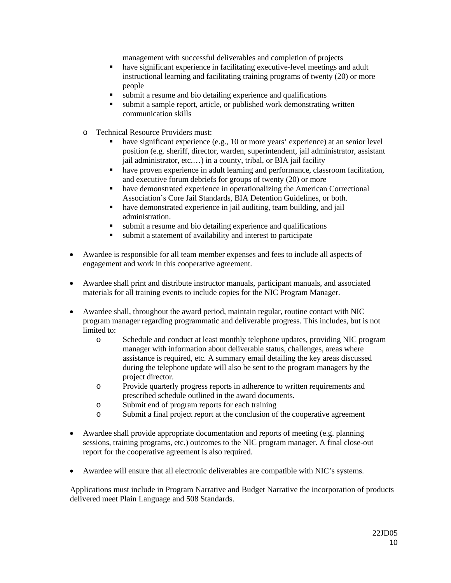management with successful deliverables and completion of projects

- have significant experience in facilitating executive-level meetings and adult instructional learning and facilitating training programs of twenty (20) or more people
- submit a resume and bio detailing experience and qualifications
- submit a sample report, article, or published work demonstrating written communication skills
- o Technical Resource Providers must:
	- have significant experience (e.g., 10 or more years' experience) at an senior level position (e.g. sheriff, director, warden, superintendent, jail administrator, assistant jail administrator, etc.…) in a county, tribal, or BIA jail facility
	- have proven experience in adult learning and performance, classroom facilitation, and executive forum debriefs for groups of twenty (20) or more
	- have demonstrated experience in operationalizing the American Correctional Association's Core Jail Standards, BIA Detention Guidelines, or both.
	- have demonstrated experience in jail auditing, team building, and jail administration.
	- submit a resume and bio detailing experience and qualifications
	- submit a statement of availability and interest to participate
- Awardee is responsible for all team member expenses and fees to include all aspects of engagement and work in this cooperative agreement.
- Awardee shall print and distribute instructor manuals, participant manuals, and associated materials for all training events to include copies for the NIC Program Manager.
- Awardee shall, throughout the award period, maintain regular, routine contact with NIC program manager regarding programmatic and deliverable progress. This includes, but is not limited to:
	- o Schedule and conduct at least monthly telephone updates, providing NIC program manager with information about deliverable status, challenges, areas where assistance is required, etc. A summary email detailing the key areas discussed during the telephone update will also be sent to the program managers by the project director.
	- o Provide quarterly progress reports in adherence to written requirements and prescribed schedule outlined in the award documents.
	- o Submit end of program reports for each training
	- o Submit a final project report at the conclusion of the cooperative agreement
- Awardee shall provide appropriate documentation and reports of meeting (e.g. planning sessions, training programs, etc.) outcomes to the NIC program manager. A final close-out report for the cooperative agreement is also required.
- Awardee will ensure that all electronic deliverables are compatible with NIC's systems.

Applications must include in Program Narrative and Budget Narrative the incorporation of products delivered meet Plain Language and 508 Standards.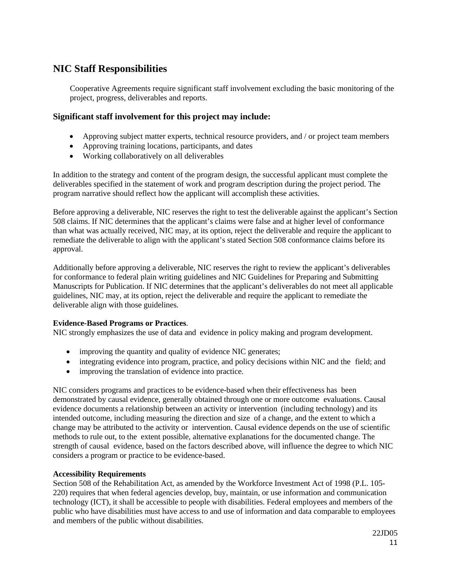# **NIC Staff Responsibilities**

Cooperative Agreements require significant staff involvement excluding the basic monitoring of the project, progress, deliverables and reports.

## **Significant staff involvement for this project may include:**

- Approving subject matter experts, technical resource providers, and / or project team members
- Approving training locations, participants, and dates
- Working collaboratively on all deliverables

In addition to the strategy and content of the program design, the successful applicant must complete the deliverables specified in the statement of work and program description during the project period. The program narrative should reflect how the applicant will accomplish these activities.

Before approving a deliverable, NIC reserves the right to test the deliverable against the applicant's Section 508 claims. If NIC determines that the applicant's claims were false and at higher level of conformance than what was actually received, NIC may, at its option, reject the deliverable and require the applicant to remediate the deliverable to align with the applicant's stated Section 508 conformance claims before its approval.

Additionally before approving a deliverable, NIC reserves the right to review the applicant's deliverables for conformance to federal plain writing guidelines and NIC Guidelines for Preparing and Submitting Manuscripts for Publication. If NIC determines that the applicant's deliverables do not meet all applicable guidelines, NIC may, at its option, reject the deliverable and require the applicant to remediate the deliverable align with those guidelines.

## **Evidence-Based Programs or Practices**.

NIC strongly emphasizes the use of data and evidence in policy making and program development.

- improving the quantity and quality of evidence NIC generates;
- integrating evidence into program, practice, and policy decisions within NIC and the field; and
- improving the translation of evidence into practice.

NIC considers programs and practices to be evidence-based when their effectiveness has been demonstrated by causal evidence, generally obtained through one or more outcome evaluations. Causal evidence documents a relationship between an activity or intervention (including technology) and its intended outcome, including measuring the direction and size of a change, and the extent to which a change may be attributed to the activity or intervention. Causal evidence depends on the use of scientific methods to rule out, to the extent possible, alternative explanations for the documented change. The strength of causal evidence, based on the factors described above, will influence the degree to which NIC considers a program or practice to be evidence-based.

## **Accessibility Requirements**

Section 508 of the Rehabilitation Act, as amended by the Workforce Investment Act of 1998 (P.L. 105- 220) requires that when federal agencies develop, buy, maintain, or use information and communication technology (ICT), it shall be accessible to people with disabilities. Federal employees and members of the public who have disabilities must have access to and use of information and data comparable to employees and members of the public without disabilities.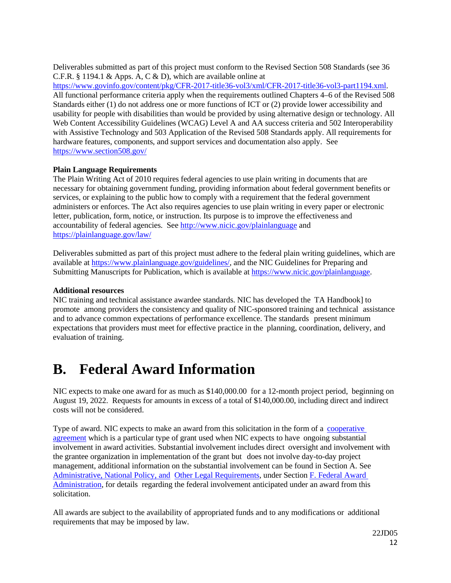Deliverables submitted as part of this project must conform to the Revised Section 508 Standards (see 36 C.F.R. § 1194.1 & Apps. A, C & D), which are available online at

[https://www.govinfo.gov/content/pkg/CFR-2017-title36-vol3/xml/CFR-2017-title36-vol3-part1194.xml.](https://www.govinfo.gov/content/pkg/CFR-2017-title36-vol3/xml/CFR-2017-title36-vol3-part1194.xml) All functional performance criteria apply when the requirements outlined Chapters 4–6 of the Revised 508 Standards either (1) do not address one or more functions of ICT or (2) provide lower accessibility and usability for people with disabilities than would be provided by using alternative design or technology. All Web Content Accessibility Guidelines (WCAG) Level A and AA success criteria and 502 Interoperability with Assistive Technology and 503 Application of the Revised 508 Standards apply. All requirements for hardware features, components, and support services and documentation also apply. See <https://www.section508.gov/>

### **Plain Language Requirements**

The Plain Writing Act of 2010 requires federal agencies to use plain writing in documents that are necessary for obtaining government funding, providing information about federal government benefits or services, or explaining to the public how to comply with a requirement that the federal government administers or enforces. The Act also requires agencies to use plain writing in every paper or electronic letter, publication, form, notice, or instruction. Its purpose is to improve the effectiveness and accountability of federal agencies. See<http://www.nicic.gov/plainlanguage> and <https://plainlanguage.gov/law/>

Deliverables submitted as part of this project must adhere to the federal plain writing guidelines, which are available at [https://www.plainlanguage.gov/guidelines/,](https://www.plainlanguage.gov/guidelines/) and the NIC Guidelines for Preparing and Submitting Manuscripts for Publication, which is available a[t https://www.nicic.gov/plainlanguage.](https://www.nicic.gov/plainlanguage)

#### **Additional resources**

NIC training and technical assistance awardee standards. NIC has developed the TA Handbook] to promote among providers the consistency and quality of NIC-sponsored training and technical assistance and to advance common expectations of performance excellence. The standards present minimum expectations that providers must meet for effective practice in the planning, coordination, delivery, and evaluation of training.

# <span id="page-11-0"></span>**B. Federal Award Information**

NIC expects to make one award for as much as \$140,000.00 for a 12-month project period, beginning on August 19, 2022. Requests for amounts in excess of a total of \$140,000.00, including direct and indirect costs will not be considered.

Type of award. NIC expects to make an award from this solicitation in the form of a [cooperative](https://www.ecfr.gov/current/title-2/subtitle-A/chapter-II/part-200/subpart-A/subject-group-ECFR2a6a0087862fd2c/section-200.1) [agreement](https://www.ecfr.gov/current/title-2/subtitle-A/chapter-II/part-200/subpart-A/subject-group-ECFR2a6a0087862fd2c/section-200.1) which is a particular type of grant used when NIC expects to have ongoing substantial involvement in award activities. Substantial involvement includes direct oversight and involvement with the grantee organization in implementation of the grant but does not involve day-to-day project management, additional information on the substantial involvement can be found in Section A. See Administrative, [National Policy,](#page-30-0) and Other [Legal Requirements,](#page-30-0) under Section F. [Federal](#page-30-0) Award [Administration,](#page-30-0) for details regarding the federal involvement anticipated under an award from this solicitation.

All awards are subject to the availability of appropriated funds and to any modifications or additional requirements that may be imposed by law.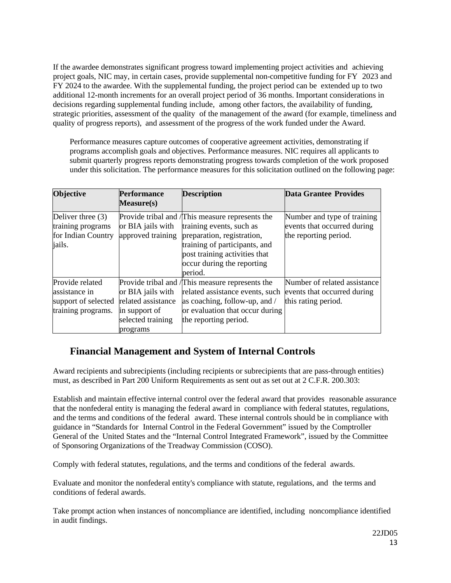If the awardee demonstrates significant progress toward implementing project activities and achieving project goals, NIC may, in certain cases, provide supplemental non-competitive funding for FY 2023 and FY 2024 to the awardee. With the supplemental funding, the project period can be extended up to two additional 12-month increments for an overall project period of 36 months. Important considerations in decisions regarding supplemental funding include, among other factors, the availability of funding, strategic priorities, assessment of the quality of the management of the award (for example, timeliness and quality of progress reports), and assessment of the progress of the work funded under the Award.

Performance measures capture outcomes of cooperative agreement activities, demonstrating if programs accomplish goals and objectives. Performance measures. NIC requires all applicants to submit quarterly progress reports demonstrating progress towards completion of the work proposed under this solicitation. The performance measures for this solicitation outlined on the following page:

| <b>Objective</b>                                                              | <b>Performance</b><br>Measure(s)                                                          | <b>Description</b>                                                                                                                                                                                                    | Data Grantee Provides                                                               |
|-------------------------------------------------------------------------------|-------------------------------------------------------------------------------------------|-----------------------------------------------------------------------------------------------------------------------------------------------------------------------------------------------------------------------|-------------------------------------------------------------------------------------|
| Deliver three $(3)$<br>training programs<br>for Indian Country<br>jails.      | or BIA jails with<br>approved training                                                    | Provide tribal and / This measure represents the<br>training events, such as<br>preparation, registration,<br>training of participants, and<br>post training activities that<br>occur during the reporting<br>period. | Number and type of training<br>events that occurred during<br>the reporting period. |
| Provide related<br>assistance in<br>support of selected<br>training programs. | or BIA jails with<br>related assistance<br>in support of<br>selected training<br>programs | Provide tribal and / This measure represents the<br>related assistance events, such<br>as coaching, follow-up, and /<br>or evaluation that occur during<br>the reporting period.                                      | Number of related assistance<br>events that occurred during<br>this rating period.  |

## <span id="page-12-0"></span>**Financial Management and System of Internal Controls**

Award recipients and subrecipients (including recipients or subrecipients that are pass-through entities) must, as described in Part 200 Uniform Requirements as sent out as set out at 2 C.F.R. 200.303:

Establish and maintain effective internal control over the federal award that provides reasonable assurance that the nonfederal entity is managing the federal award in compliance with federal statutes, regulations, and the terms and conditions of the federal award. These internal controls should be in compliance with guidance in "Standards for Internal Control in the Federal Government" issued by the Comptroller General of the United States and the "Internal Control Integrated Framework", issued by the Committee of Sponsoring Organizations of the Treadway Commission (COSO).

Comply with federal statutes, regulations, and the terms and conditions of the federal awards.

Evaluate and monitor the nonfederal entity's compliance with statute, regulations, and the terms and conditions of federal awards.

Take prompt action when instances of noncompliance are identified, including noncompliance identified in audit findings.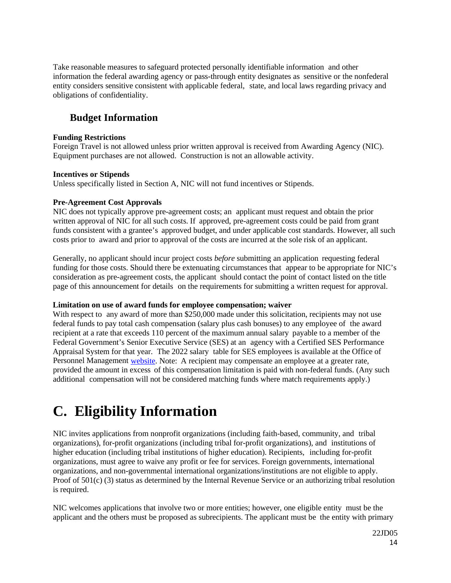<span id="page-13-2"></span>Take reasonable measures to safeguard protected personally identifiable information and other information the federal awarding agency or pass-through entity designates as sensitive or the nonfederal entity considers sensitive consistent with applicable federal, state, and local laws regarding privacy and obligations of confidentiality.

## <span id="page-13-1"></span>**Budget Information**

### **Funding Restrictions**

Foreign Travel is not allowed unless prior written approval is received from Awarding Agency (NIC). Equipment purchases are not allowed. Construction is not an allowable activity.

## **Incentives or Stipends**

Unless specifically listed in Section A, NIC will not fund incentives or Stipends.

### <span id="page-13-3"></span>**Pre-Agreement Cost Approvals**

NIC does not typically approve pre-agreement costs; an applicant must request and obtain the prior written approval of NIC for all such costs. If approved, pre-agreement costs could be paid from grant funds consistent with a grantee's approved budget, and under applicable cost standards. However, all such costs prior to award and prior to approval of the costs are incurred at the sole risk of an applicant.

Generally, no applicant should incur project costs *before* submitting an application requesting federal funding for those costs. Should there be extenuating circumstances that appear to be appropriate for NIC's consideration as pre-agreement costs, the applicant should contact the point of contact listed on the title page of this announcement for details on the requirements for submitting a written request for approval.

#### <span id="page-13-4"></span>**Limitation on use of award funds for employee compensation; waiver**

With respect to any award of more than \$250,000 made under this solicitation, recipients may not use federal funds to pay total cash compensation (salary plus cash bonuses) to any employee of the award recipient at a rate that exceeds 110 percent of the maximum annual salary payable to a member of the Federal Government's Senior Executive Service (SES) at an agency with a Certified SES Performance Appraisal System for that year. The 2022 salary table for SES employees is available at the Office of Personnel Management [website.](https://www.opm.gov/policy-data-oversight/pay-leave/salaries-wages/#url=2021) Note: A recipient may compensate an employee at a greater rate, provided the amount in excess of this compensation limitation is paid with non-federal funds. (Any such additional compensation will not be considered matching funds where match requirements apply.)

# <span id="page-13-0"></span>**C. Eligibility Information**

NIC invites applications from nonprofit organizations (including faith-based, community, and tribal organizations), for-profit organizations (including tribal for-profit organizations), and institutions of higher education (including tribal institutions of higher education). Recipients, including for-profit organizations, must agree to waive any profit or fee for services. Foreign governments, international organizations, and non-governmental international organizations/institutions are not eligible to apply. Proof of 501(c) (3) status as determined by the Internal Revenue Service or an authorizing tribal resolution is required.

NIC welcomes applications that involve two or more entities; however, one eligible entity must be the applicant and the others must be proposed as subrecipients. The applicant must be the entity with primary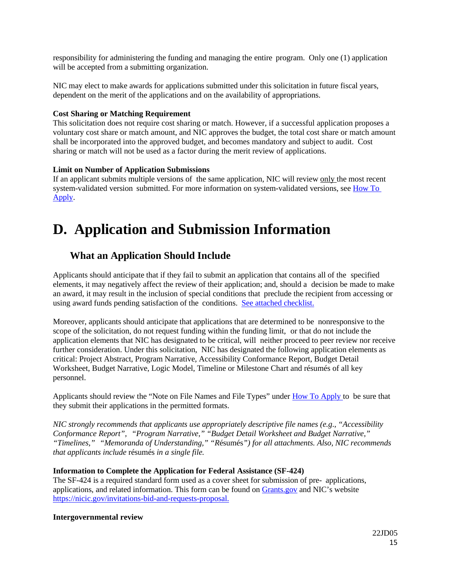responsibility for administering the funding and managing the entire program. Only one (1) application will be accepted from a submitting organization.

NIC may elect to make awards for applications submitted under this solicitation in future fiscal years, dependent on the merit of the applications and on the availability of appropriations.

### <span id="page-14-1"></span>**Cost Sharing or Matching Requirement**

This solicitation does not require cost sharing or match. However, if a successful application proposes a voluntary cost share or match amount, and NIC approves the budget, the total cost share or match amount shall be incorporated into the approved budget, and becomes mandatory and subject to audit. Cost sharing or match will not be used as a factor during the merit review of applications.

### <span id="page-14-2"></span>**Limit on Number of Application Submissions**

If an applicant submits multiple versions of the same application, NIC will review only the most recent system-validated version submitted. For more information on system-validated versions, see [How](#page-23-0) To [Apply.](#page-23-0)

# <span id="page-14-0"></span>**D. Application and Submission Information**

## <span id="page-14-3"></span>**What an Application Should Include**

Applicants should anticipate that if they fail to submit an application that contains all of the specified elements, it may negatively affect the review of their application; and, should a decision be made to make an award, it may result in the inclusion of special conditions that preclude the recipient from accessing or using award funds pending satisfaction of the conditions. [See attached checklist.](#page-34-0)

Moreover, applicants should anticipate that applications that are determined to be nonresponsive to the scope of the solicitation, do not request funding within the funding limit, or that do not include the application elements that NIC has designated to be critical, will neither proceed to peer review nor receive further consideration. Under this solicitation, NIC has designated the following application elements as critical: Project Abstract, Program Narrative, Accessibility Conformance Report, Budget Detail Worksheet, Budget Narrative, Logic Model, Timeline or Milestone Chart and résumés of all key personnel.

Applicants should review the "Note on File Names and File Types" under How [To Apply t](#page-23-0)o be sure that they submit their applications in the permitted formats.

*NIC strongly recommends that applicants use appropriately descriptive file names (e.g*.*, "Accessibility Conformance Report", "Program Narrative," "Budget Detail Worksheet and Budget Narrative," "Timelines," "Memoranda of Understanding," "R*ésumés*") for all attachments. Also, NIC recommends that applicants include* résumés *in a single file.*

#### <span id="page-14-4"></span>**Information to Complete the Application for Federal Assistance (SF-424)**

The SF-424 is a required standard form used as a cover sheet for submission of pre- applications, applications, and related information. This form can be found on [Grants.gov](https://www.grants.gov/web/grants/forms/sf-424-family.html) and NIC's website [https://nicic.gov/invitations-bid-and-requests-proposal.](https://nicic.gov/invitations-bid-and-requests-proposal)

#### <span id="page-14-5"></span>**Intergovernmental review**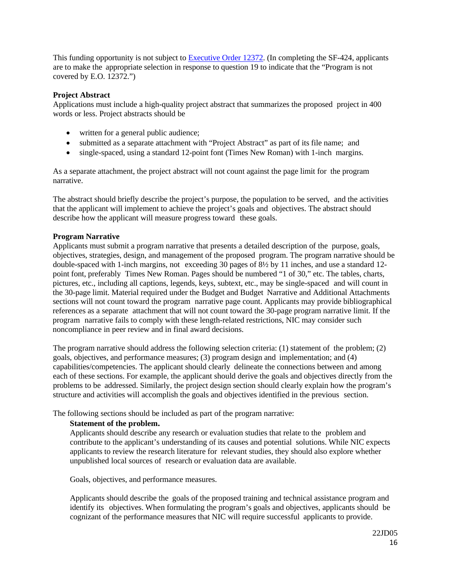This funding opportunity is not subject to [Executive](http://www.archives.gov/federal-register/codification/executive-order/12372.html) Order 12372. (In completing the SF-424, applicants are to make the appropriate selection in response to question 19 to indicate that the "Program is not covered by E.O. 12372.")

#### <span id="page-15-0"></span>**Project Abstract**

Applications must include a high-quality project abstract that summarizes the proposed project in 400 words or less. Project abstracts should be

- written for a general public audience;
- submitted as a separate attachment with "Project Abstract" as part of its file name; and
- single-spaced, using a standard 12-point font (Times New Roman) with 1-inch margins.

As a separate attachment, the project abstract will not count against the page limit for the program narrative.

The abstract should briefly describe the project's purpose, the population to be served, and the activities that the applicant will implement to achieve the project's goals and objectives. The abstract should describe how the applicant will measure progress toward these goals.

### <span id="page-15-1"></span>**Program Narrative**

Applicants must submit a program narrative that presents a detailed description of the purpose, goals, objectives, strategies, design, and management of the proposed program. The program narrative should be double-spaced with 1-inch margins, not exceeding 30 pages of 8½ by 11 inches, and use a standard 12 point font, preferably Times New Roman. Pages should be numbered "1 of 30," etc. The tables, charts, pictures, etc., including all captions, legends, keys, subtext, etc., may be single-spaced and will count in the 30-page limit. Material required under the Budget and Budget Narrative and Additional Attachments sections will not count toward the program narrative page count. Applicants may provide bibliographical references as a separate attachment that will not count toward the 30-page program narrative limit. If the program narrative fails to comply with these length-related restrictions, NIC may consider such noncompliance in peer review and in final award decisions.

The program narrative should address the following selection criteria: (1) statement of the problem; (2) goals, objectives, and performance measures; (3) program design and implementation; and (4) capabilities/competencies. The applicant should clearly delineate the connections between and among each of these sections. For example, the applicant should derive the goals and objectives directly from the problems to be addressed. Similarly, the project design section should clearly explain how the program's structure and activities will accomplish the goals and objectives identified in the previous section.

The following sections should be included as part of the program narrative:

### <span id="page-15-2"></span>**Statement of the problem.**

Applicants should describe any research or evaluation studies that relate to the problem and contribute to the applicant's understanding of its causes and potential solutions. While NIC expects applicants to review the research literature for relevant studies, they should also explore whether unpublished local sources of research or evaluation data are available.

Goals, objectives, and performance measures.

Applicants should describe the goals of the proposed training and technical assistance program and identify its objectives. When formulating the program's goals and objectives, applicants should be cognizant of the performance measures that NIC will require successful applicants to provide.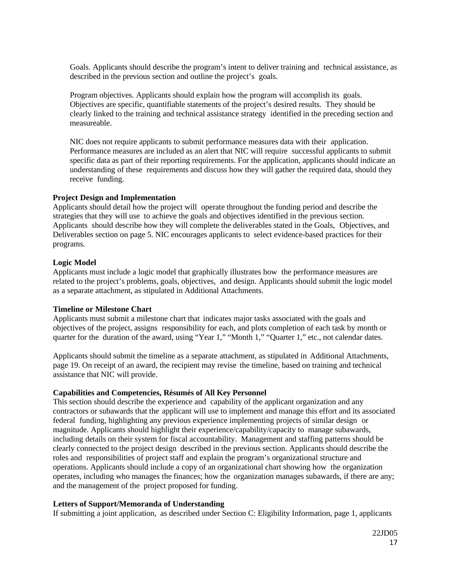Goals. Applicants should describe the program's intent to deliver training and technical assistance, as described in the previous section and outline the project's goals.

Program objectives. Applicants should explain how the program will accomplish its goals. Objectives are specific, quantifiable statements of the project's desired results. They should be clearly linked to the training and technical assistance strategy identified in the preceding section and measureable.

NIC does not require applicants to submit performance measures data with their application. Performance measures are included as an alert that NIC will require successful applicants to submit specific data as part of their reporting requirements. For the application, applicants should indicate an understanding of these requirements and discuss how they will gather the required data, should they receive funding.

#### <span id="page-16-0"></span>**Project Design and Implementation**

Applicants should detail how the project will operate throughout the funding period and describe the strategies that they will use to achieve the goals and objectives identified in the previous section. Applicants should describe how they will complete the deliverables stated in the Goals, Objectives, and Deliverables section on page 5. NIC encourages applicants to select evidence-based practices for their programs.

#### <span id="page-16-1"></span>**Logic Model**

Applicants must include a logic model that graphically illustrates how the performance measures are related to the project's problems, goals, objectives, and design. Applicants should submit the logic model as a separate attachment, as stipulated in Additional Attachments.

#### <span id="page-16-2"></span>**Timeline or Milestone Chart**

Applicants must submit a milestone chart that indicates major tasks associated with the goals and objectives of the project, assigns responsibility for each, and plots completion of each task by month or quarter for the duration of the award, using "Year 1," "Month 1," "Quarter 1," etc., not calendar dates.

Applicants should submit the timeline as a separate attachment, as stipulated in Additional Attachments, page 19. On receipt of an award, the recipient may revise the timeline, based on training and technical assistance that NIC will provide.

#### <span id="page-16-3"></span>**Capabilities and Competencies, Résumés of All Key Personnel**

This section should describe the experience and capability of the applicant organization and any contractors or subawards that the applicant will use to implement and manage this effort and its associated federal funding, highlighting any previous experience implementing projects of similar design or magnitude. Applicants should highlight their experience/capability/capacity to manage subawards, including details on their system for fiscal accountability. Management and staffing patterns should be clearly connected to the project design described in the previous section. Applicants should describe the roles and responsibilities of project staff and explain the program's organizational structure and operations. Applicants should include a copy of an organizational chart showing how the organization operates, including who manages the finances; how the organization manages subawards, if there are any; and the management of the project proposed for funding.

#### <span id="page-16-4"></span>**Letters of Support/Memoranda of Understanding**

If submitting a joint application, as described under Section C: Eligibility Information, page 1, applicants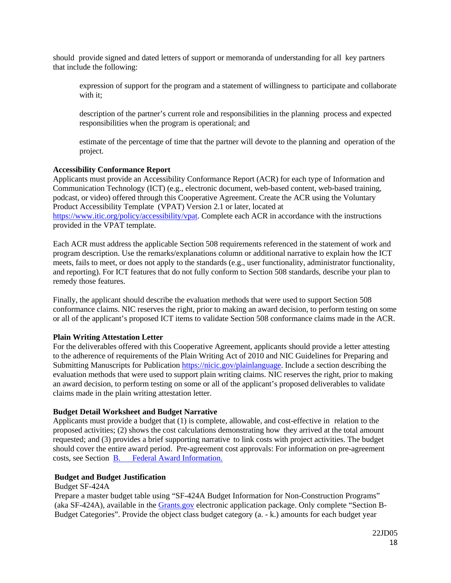<span id="page-17-1"></span>should provide signed and dated letters of support or memoranda of understanding for all key partners that include the following:

expression of support for the program and a statement of willingness to participate and collaborate with it:

description of the partner's current role and responsibilities in the planning process and expected responsibilities when the program is operational; and

estimate of the percentage of time that the partner will devote to the planning and operation of the project.

#### **Accessibility Conformance Report**

Applicants must provide an Accessibility Conformance Report (ACR) for each type of Information and Communication Technology (ICT) (e.g., electronic document, web-based content, web-based training, podcast, or video) offered through this Cooperative Agreement. Create the ACR using the Voluntary Product Accessibility Template (VPAT) Version 2.1 or later, located at [https://www.itic.org/policy/accessibility/vpat.](https://www.itic.org/policy/accessibility/vpat) Complete each ACR in accordance with the instructions provided in the VPAT template.

Each ACR must address the applicable Section 508 requirements referenced in the statement of work and program description. Use the remarks/explanations column or additional narrative to explain how the ICT meets, fails to meet, or does not apply to the standards (e.g., user functionality, administrator functionality, and reporting). For ICT features that do not fully conform to Section 508 standards, describe your plan to remedy those features.

Finally, the applicant should describe the evaluation methods that were used to support Section 508 conformance claims. NIC reserves the right, prior to making an award decision, to perform testing on some or all of the applicant's proposed ICT items to validate Section 508 conformance claims made in the ACR.

#### **Plain Writing Attestation Letter**

For the deliverables offered with this Cooperative Agreement, applicants should provide a letter attesting to the adherence of requirements of the Plain Writing Act of 2010 and NIC Guidelines for Preparing and Submitting Manuscripts for Publication [https://nicic.gov/plainlanguage.](https://nicic.gov/plainlanguage) Include a section describing the evaluation methods that were used to support plain writing claims. NIC reserves the right, prior to making an award decision, to perform testing on some or all of the applicant's proposed deliverables to validate claims made in the plain writing attestation letter.

#### <span id="page-17-0"></span>**Budget Detail Worksheet and Budget Narrative**

Applicants must provide a budget that (1) is complete, allowable, and cost-effective in relation to the proposed activities; (2) shows the cost calculations demonstrating how they arrived at the total amount requested; and (3) provides a brief supporting narrative to link costs with project activities. The budget should cover the entire award period. Pre-agreement cost approvals: For information on pre-agreement costs, see Section [B. Federal Award Information.](#page-11-0)

#### **Budget and Budget Justification**

#### Budget SF-424A

Prepare a master budget table using "SF-424A Budget Information for Non-Construction Programs" (aka SF-424A), available in the [Grants.gov](https://www.grants.gov/) electronic application package. Only complete "Section B-Budget Categories". Provide the object class budget category (a. - k.) amounts for each budget year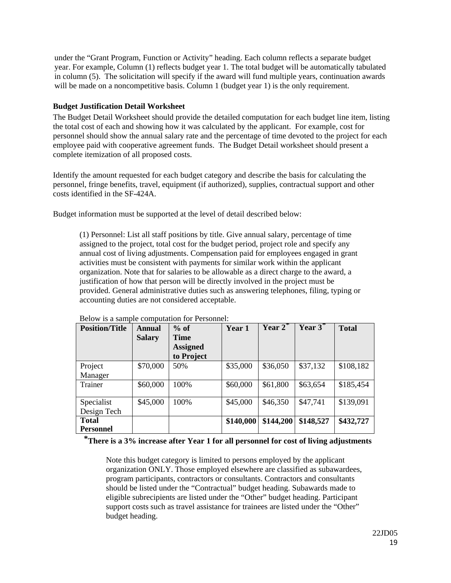under the "Grant Program, Function or Activity" heading. Each column reflects a separate budget year. For example, Column (1) reflects budget year 1. The total budget will be automatically tabulated in column (5). The solicitation will specify if the award will fund multiple years, continuation awards will be made on a noncompetitive basis. Column 1 (budget year 1) is the only requirement.

### **Budget Justification Detail Worksheet**

The Budget Detail Worksheet should provide the detailed computation for each budget line item, listing the total cost of each and showing how it was calculated by the applicant. For example, cost for personnel should show the annual salary rate and the percentage of time devoted to the project for each employee paid with cooperative agreement funds. The Budget Detail worksheet should present a complete itemization of all proposed costs.

Identify the amount requested for each budget category and describe the basis for calculating the personnel, fringe benefits, travel, equipment (if authorized), supplies, contractual support and other costs identified in the SF-424A.

Budget information must be supported at the level of detail described below:

(1) Personnel: List all staff positions by title. Give annual salary, percentage of time assigned to the project, total cost for the budget period, project role and specify any annual cost of living adjustments. Compensation paid for employees engaged in grant activities must be consistent with payments for similar work within the applicant organization. Note that for salaries to be allowable as a direct charge to the award, a justification of how that person will be directly involved in the project must be provided. General administrative duties such as answering telephones, filing, typing or accounting duties are not considered acceptable.

| <b>Position/Title</b> | <b>Annual</b> | $%$ of          | Year 1    | $\overline{\text{Year 2}}^*$ | Year $3^*$ | <b>Total</b> |
|-----------------------|---------------|-----------------|-----------|------------------------------|------------|--------------|
|                       | <b>Salary</b> | Time            |           |                              |            |              |
|                       |               | <b>Assigned</b> |           |                              |            |              |
|                       |               | to Project      |           |                              |            |              |
| Project               | \$70,000      | 50%             | \$35,000  | \$36,050                     | \$37,132   | \$108,182    |
| Manager               |               |                 |           |                              |            |              |
| Trainer               | \$60,000      | 100%            | \$60,000  | \$61,800                     | \$63,654   | \$185,454    |
|                       |               |                 |           |                              |            |              |
| Specialist            | \$45,000      | 100%            | \$45,000  | \$46,350                     | \$47,741   | \$139,091    |
| Design Tech           |               |                 |           |                              |            |              |
| <b>Total</b>          |               |                 | \$140,000 | \$144,200                    | \$148,527  | \$432,727    |
| <b>Personnel</b>      |               |                 |           |                              |            |              |

#### Below is a sample computation for Personnel:

# **\*There is a 3% increase after Year 1 for all personnel for cost of living adjustments**

Note this budget category is limited to persons employed by the applicant organization ONLY. Those employed elsewhere are classified as subawardees, program participants, contractors or consultants. Contractors and consultants should be listed under the "Contractual" budget heading. Subawards made to eligible subrecipients are listed under the "Other" budget heading. Participant support costs such as travel assistance for trainees are listed under the "Other" budget heading.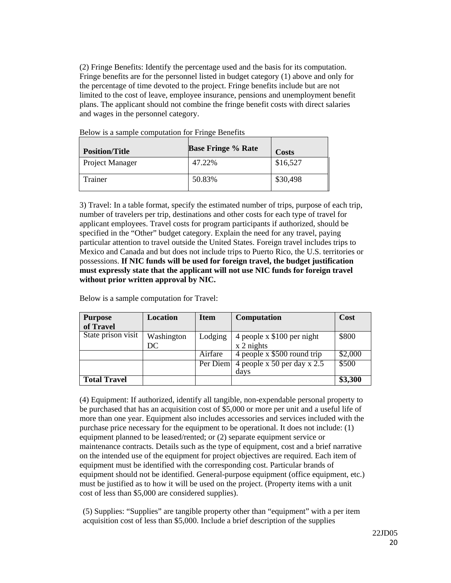(2) Fringe Benefits: Identify the percentage used and the basis for its computation. Fringe benefits are for the personnel listed in budget category (1) above and only for the percentage of time devoted to the project. Fringe benefits include but are not limited to the cost of leave, employee insurance, pensions and unemployment benefit plans. The applicant should not combine the fringe benefit costs with direct salaries and wages in the personnel category.

| <b>Position/Title</b> | <b>Base Fringe % Rate</b> | <b>Costs</b> |
|-----------------------|---------------------------|--------------|
| Project Manager       | 47.22%                    | \$16,527     |
| Trainer               | 50.83%                    | \$30,498     |

Below is a sample computation for Fringe Benefits

3) Travel: In a table format, specify the estimated number of trips, purpose of each trip, number of travelers per trip, destinations and other costs for each type of travel for applicant employees. Travel costs for program participants if authorized, should be specified in the "Other" budget category. Explain the need for any travel, paying particular attention to travel outside the United States. Foreign travel includes trips to Mexico and Canada and but does not include trips to Puerto Rico, the U.S. territories or possessions. **If NIC funds will be used for foreign travel, the budget justification must expressly state that the applicant will not use NIC funds for foreign travel without prior written approval by NIC.** 

| <b>Purpose</b><br>of Travel | Location         | <b>Item</b> | <b>Computation</b>                             | Cost    |
|-----------------------------|------------------|-------------|------------------------------------------------|---------|
| State prison visit          | Washington<br>DC | Lodging     | 4 people x \$100 per night<br>$x2$ nights      | \$800   |
|                             |                  | Airfare     | 4 people x \$500 round trip                    | \$2,000 |
|                             |                  |             | Per Diem 4 people x 50 per day x $2.5$<br>davs | \$500   |
| <b>Total Travel</b>         |                  |             |                                                | \$3,300 |

Below is a sample computation for Travel:

(4) Equipment: If authorized, identify all tangible, non-expendable personal property to be purchased that has an acquisition cost of \$5,000 or more per unit and a useful life of more than one year. Equipment also includes accessories and services included with the purchase price necessary for the equipment to be operational. It does not include: (1) equipment planned to be leased/rented; or (2) separate equipment service or maintenance contracts. Details such as the type of equipment, cost and a brief narrative on the intended use of the equipment for project objectives are required. Each item of equipment must be identified with the corresponding cost. Particular brands of equipment should not be identified. General-purpose equipment (office equipment, etc.) must be justified as to how it will be used on the project. (Property items with a unit cost of less than \$5,000 are considered supplies).

(5) Supplies: "Supplies" are tangible property other than "equipment" with a per item acquisition cost of less than \$5,000. Include a brief description of the supplies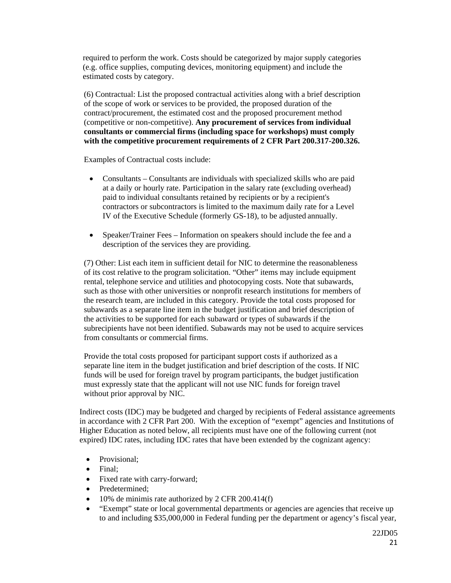required to perform the work. Costs should be categorized by major supply categories (e.g. office supplies, computing devices, monitoring equipment) and include the estimated costs by category.

(6) Contractual: List the proposed contractual activities along with a brief description of the scope of work or services to be provided, the proposed duration of the contract/procurement, the estimated cost and the proposed procurement method (competitive or non-competitive). **Any procurement of services from individual consultants or commercial firms (including space for workshops) must comply with the competitive procurement requirements of 2 CFR Part 200.317-200.326.** 

Examples of Contractual costs include:

- Consultants Consultants are individuals with specialized skills who are paid at a daily or hourly rate. Participation in the salary rate (excluding overhead) paid to individual consultants retained by recipients or by a recipient's contractors or subcontractors is limited to the maximum daily rate for a Level IV of the Executive Schedule (formerly GS-18), to be adjusted annually.
- Speaker/Trainer Fees Information on speakers should include the fee and a description of the services they are providing.

(7) Other: List each item in sufficient detail for NIC to determine the reasonableness of its cost relative to the program solicitation. "Other" items may include equipment rental, telephone service and utilities and photocopying costs. Note that subawards, such as those with other universities or nonprofit research institutions for members of the research team, are included in this category. Provide the total costs proposed for subawards as a separate line item in the budget justification and brief description of the activities to be supported for each subaward or types of subawards if the subrecipients have not been identified. Subawards may not be used to acquire services from consultants or commercial firms.

Provide the total costs proposed for participant support costs if authorized as a separate line item in the budget justification and brief description of the costs. If NIC funds will be used for foreign travel by program participants, the budget justification must expressly state that the applicant will not use NIC funds for foreign travel without prior approval by NIC.

Indirect costs (IDC) may be budgeted and charged by recipients of Federal assistance agreements in accordance with 2 CFR Part 200. With the exception of "exempt" agencies and Institutions of Higher Education as noted below, all recipients must have one of the following current (not expired) IDC rates, including IDC rates that have been extended by the cognizant agency:

- Provisional;
- Final;
- Fixed rate with carry-forward;
- Predetermined;
- 10% de minimis rate authorized by 2 CFR 200.414(f)
- "Exempt" state or local governmental departments or agencies are agencies that receive up to and including \$35,000,000 in Federal funding per the department or agency's fiscal year,

22JD05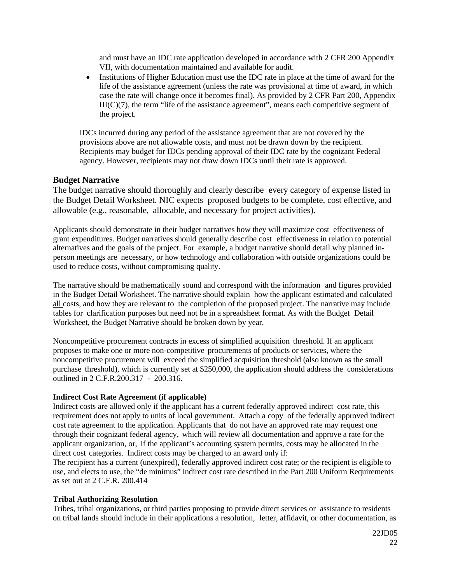and must have an IDC rate application developed in accordance with 2 CFR 200 Appendix VII, with documentation maintained and available for audit.

• Institutions of Higher Education must use the IDC rate in place at the time of award for the life of the assistance agreement (unless the rate was provisional at time of award, in which case the rate will change once it becomes final). As provided by 2 CFR Part 200, Appendix  $III(C)(7)$ , the term "life of the assistance agreement", means each competitive segment of the project.

IDCs incurred during any period of the assistance agreement that are not covered by the provisions above are not allowable costs, and must not be drawn down by the recipient. Recipients may budget for IDCs pending approval of their IDC rate by the cognizant Federal agency. However, recipients may not draw down IDCs until their rate is approved.

#### <span id="page-21-0"></span>**Budget Narrative**

The budget narrative should thoroughly and clearly describe every category of expense listed in the Budget Detail Worksheet. NIC expects proposed budgets to be complete, cost effective, and allowable (e.g., reasonable, allocable, and necessary for project activities).

Applicants should demonstrate in their budget narratives how they will maximize cost effectiveness of grant expenditures. Budget narratives should generally describe cost effectiveness in relation to potential alternatives and the goals of the project. For example, a budget narrative should detail why planned inperson meetings are necessary, or how technology and collaboration with outside organizations could be used to reduce costs, without compromising quality.

The narrative should be mathematically sound and correspond with the information and figures provided in the Budget Detail Worksheet. The narrative should explain how the applicant estimated and calculated all costs, and how they are relevant to the completion of the proposed project. The narrative may include tables for clarification purposes but need not be in a spreadsheet format. As with the Budget Detail Worksheet, the Budget Narrative should be broken down by year.

Noncompetitive procurement contracts in excess of simplified acquisition threshold. If an applicant proposes to make one or more non-competitive procurements of products or services, where the noncompetitive procurement will exceed the simplified acquisition threshold (also known as the small purchase threshold), which is currently set at \$250,000, the application should address the considerations outlined in 2 C.F.R.200.317 - 200.316.

#### <span id="page-21-1"></span>**Indirect Cost Rate Agreement (if applicable)**

Indirect costs are allowed only if the applicant has a current federally approved indirect cost rate, this requirement does not apply to units of local government. Attach a copy of the federally approved indirect cost rate agreement to the application. Applicants that do not have an approved rate may request one through their cognizant federal agency, which will review all documentation and approve a rate for the applicant organization, or, if the applicant's accounting system permits, costs may be allocated in the direct cost categories. Indirect costs may be charged to an award only if:

The recipient has a current (unexpired), federally approved indirect cost rate; or the recipient is eligible to use, and elects to use, the "de minimus" indirect cost rate described in the Part 200 Uniform Requirements as set out at 2 C.F.R. 200.414

#### <span id="page-21-2"></span>**Tribal Authorizing Resolution**

Tribes, tribal organizations, or third parties proposing to provide direct services or assistance to residents on tribal lands should include in their applications a resolution, letter, affidavit, or other documentation, as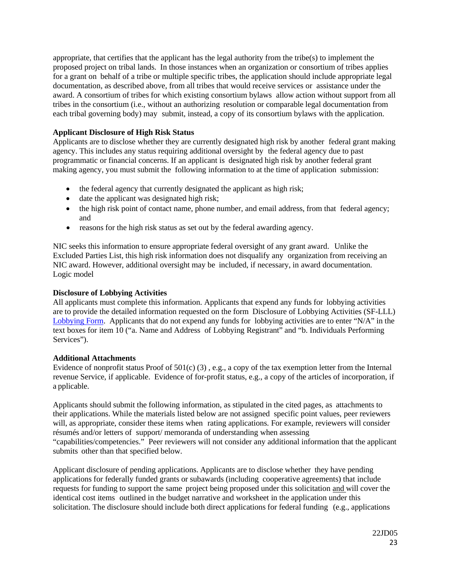appropriate, that certifies that the applicant has the legal authority from the tribe(s) to implement the proposed project on tribal lands. In those instances when an organization or consortium of tribes applies for a grant on behalf of a tribe or multiple specific tribes, the application should include appropriate legal documentation, as described above, from all tribes that would receive services or assistance under the award. A consortium of tribes for which existing consortium bylaws allow action without support from all tribes in the consortium (i.e., without an authorizing resolution or comparable legal documentation from each tribal governing body) may submit, instead, a copy of its consortium bylaws with the application.

#### <span id="page-22-0"></span>**Applicant Disclosure of High Risk Status**

Applicants are to disclose whether they are currently designated high risk by another federal grant making agency. This includes any status requiring additional oversight by the federal agency due to past programmatic or financial concerns. If an applicant is designated high risk by another federal grant making agency, you must submit the following information to at the time of application submission:

- the federal agency that currently designated the applicant as high risk;
- date the applicant was designated high risk;
- the high risk point of contact name, phone number, and email address, from that federal agency; and
- reasons for the high risk status as set out by the federal awarding agency.

NIC seeks this information to ensure appropriate federal oversight of any grant award. Unlike the Excluded Parties List, this high risk information does not disqualify any organization from receiving an NIC award. However, additional oversight may be included, if necessary, in award documentation. Logic model

#### <span id="page-22-1"></span>**Disclosure of Lobbying Activities**

All applicants must complete this information. Applicants that expend any funds for lobbying activities are to provide the detailed information requested on the form Disclosure of Lobbying Activities (SF-LLL) [Lobbying Form.](https://www.grants.gov/documents/19/217976/SFLLL_2_0-V2.0.pdf/ad05c401-3c9c-47d0-afec-7ee26491c878?version=1.0&t=1516738837999) Applicants that do not expend any funds for lobbying activities are to enter "N/A" in the text boxes for item 10 ("a. Name and Address of Lobbying Registrant" and "b. Individuals Performing Services").

#### <span id="page-22-2"></span>**Additional Attachments**

Evidence of nonprofit status Proof of 501(c) (3) , e.g., a copy of the tax exemption letter from the Internal revenue Service, if applicable. Evidence of for-profit status, e.g., a copy of the articles of incorporation, if a pplicable.

Applicants should submit the following information, as stipulated in the cited pages, as attachments to their applications. While the materials listed below are not assigned specific point values, peer reviewers will, as appropriate, consider these items when rating applications. For example, reviewers will consider résumés and/or letters of support/ memoranda of understanding when assessing "capabilities/competencies." Peer reviewers will not consider any additional information that the applicant submits other than that specified below.

Applicant disclosure of pending applications. Applicants are to disclose whether they have pending applications for federally funded grants or subawards (including cooperative agreements) that include requests for funding to support the same project being proposed under this solicitation and will cover the identical cost items outlined in the budget narrative and worksheet in the application under this solicitation. The disclosure should include both direct applications for federal funding (e.g., applications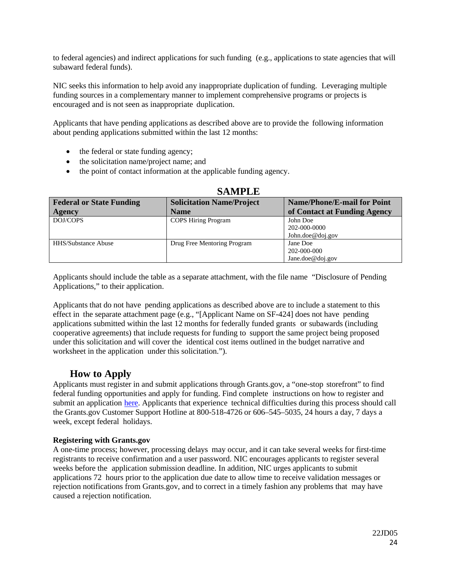to federal agencies) and indirect applications for such funding (e.g., applications to state agencies that will subaward federal funds).

NIC seeks this information to help avoid any inappropriate duplication of funding. Leveraging multiple funding sources in a complementary manner to implement comprehensive programs or projects is encouraged and is not seen as inappropriate duplication.

Applicants that have pending applications as described above are to provide the following information about pending applications submitted within the last 12 months:

- the federal or state funding agency;
- the solicitation name/project name; and
- the point of contact information at the applicable funding agency.

| <b>Federal or State Funding</b> | <b>Solicitation Name/Project</b> | <b>Name/Phone/E-mail for Point</b> |
|---------------------------------|----------------------------------|------------------------------------|
| <b>Agency</b>                   | <b>Name</b>                      | of Contact at Funding Agency       |
| DOJ/COPS                        | <b>COPS Hiring Program</b>       | John Doe                           |
|                                 |                                  | 202-000-0000                       |
|                                 |                                  | John.doe@doj.gov                   |
| <b>HHS/Substance Abuse</b>      | Drug Free Mentoring Program      | Jane Doe                           |
|                                 |                                  | 202-000-000                        |
|                                 |                                  | Jane.doe@doj.gov                   |

## **SAMPLE**

Applicants should include the table as a separate attachment, with the file name "Disclosure of Pending Applications," to their application.

Applicants that do not have pending applications as described above are to include a statement to this effect in the separate attachment page (e.g., "[Applicant Name on SF-424] does not have pending applications submitted within the last 12 months for federally funded grants or subawards (including cooperative agreements) that include requests for funding to support the same project being proposed under this solicitation and will cover the identical cost items outlined in the budget narrative and worksheet in the application under this solicitation.").

## **How to Apply**

<span id="page-23-0"></span>Applicants must register in and submit applications through Grants.gov, a "one-stop storefront" to find federal funding opportunities and apply for funding. Find complete instructions on how to register and submit an application [here.](https://www.grants.gov/web/grants/applicants/apply-for-grants.html) Applicants that experience technical difficulties during this process should call the Grants.gov Customer Support Hotline at 800-518-4726 or 606–545–5035, 24 hours a day, 7 days a week, except federal holidays.

#### <span id="page-23-1"></span>**Registering with Grants.gov**

A one-time process; however, processing delays may occur, and it can take several weeks for first-time registrants to receive confirmation and a user password. NIC encourages applicants to register several weeks before the application submission deadline. In addition, NIC urges applicants to submit applications 72 hours prior to the application due date to allow time to receive validation messages or rejection notifications from Grants.gov, and to correct in a timely fashion any problems that may have caused a rejection notification.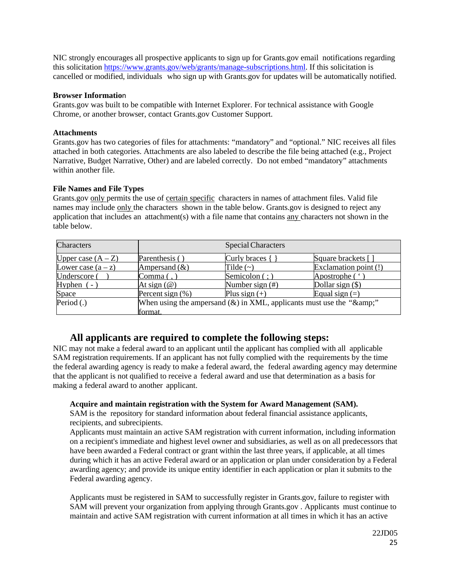<span id="page-24-4"></span>NIC strongly encourages all prospective applicants to sign up for Grants.gov email notifications regarding this solicitation [https://www.grants.gov/web/grants/manage-subscriptions.html.](https://www.grants.gov/web/grants/manage-subscriptions.html) If this solicitation is cancelled or modified, individuals who sign up with Grants.gov for updates will be automatically notified.

#### <span id="page-24-0"></span>**Browser Informatio**n

Grants.gov was built to be compatible with Internet Explorer. For technical assistance with Google Chrome, or another browser, contact Grants.gov Customer Support.

#### <span id="page-24-1"></span>**Attachments**

Grants.gov has two categories of files for attachments: "mandatory" and "optional." NIC receives all files attached in both categories. Attachments are also labeled to describe the file being attached (e.g., Project Narrative, Budget Narrative, Other) and are labeled correctly. Do not embed "mandatory" attachments within another file.

### <span id="page-24-2"></span>**File Names and File Types**

Grants.gov only permits the use of certain specific characters in names of attachment files. Valid file names may include only the characters shown in the table below. Grants.gov is designed to reject any application that includes an attachment(s) with a file name that contains any characters not shown in the table below.

| Characters           | <b>Special Characters</b>                                                    |                     |                       |  |  |
|----------------------|------------------------------------------------------------------------------|---------------------|-----------------------|--|--|
| Upper case $(A - Z)$ | Parenthesis ()                                                               | Curly braces {      | Square brackets []    |  |  |
| Lower case $(a - z)$ | Ampersand $(\&)$                                                             | Tilde $(\sim)$      | Exclamation point (!) |  |  |
| Underscore (         | Comma(.)                                                                     | Semicolon $($ ; $)$ | Apostrophe ('         |  |  |
| Hyphen $($ -         | At sign $(\mathcal{Q})$                                                      | Number sign $(\#)$  | Dollar sign $(\$)$    |  |  |
| Space                | Percent sign $(\%)$                                                          | Plus sign $(+)$     | Equal sign $(=)$      |  |  |
| Period $(.)$         | When using the ampersand $(\&)$ in XML, applicants must use the " $\&$ amp;" |                     |                       |  |  |
|                      | format.                                                                      |                     |                       |  |  |

## <span id="page-24-3"></span>**All applicants are required to complete the following steps:**

NIC may not make a federal award to an applicant until the applicant has complied with all applicable SAM registration requirements. If an applicant has not fully complied with the requirements by the time the federal awarding agency is ready to make a federal award, the federal awarding agency may determine that the applicant is not qualified to receive a federal award and use that determination as a basis for making a federal award to another applicant.

## <span id="page-24-5"></span>**Acquire and maintain registration with the System for Award Management (SAM).**

SAM is the repository for standard information about federal financial assistance applicants, recipients, and subrecipients.

Applicants must maintain an active SAM registration with current information, including information on a recipient's immediate and highest level owner and subsidiaries, as well as on all predecessors that have been awarded a Federal contract or grant within the last three years, if applicable, at all times during which it has an active Federal award or an application or plan under consideration by a Federal awarding agency; and provide its unique entity identifier in each application or plan it submits to the Federal awarding agency.

Applicants must be registered in SAM to successfully register in Grants.gov, failure to register with SAM will prevent your organization from applying through Grants.gov . Applicants must continue to maintain and active SAM registration with current information at all times in which it has an active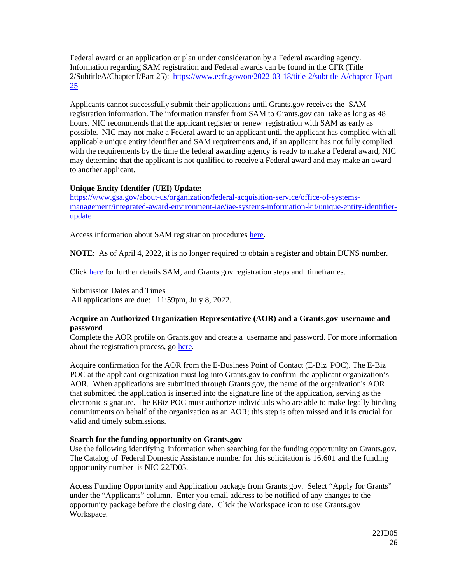Federal award or an application or plan under consideration by a Federal awarding agency. Information regarding SAM registration and Federal awards can be found in the CFR (Title 2/SubtitleA/Chapter I/Part 25): [https://www.ecfr.gov/on/2022-03-18/title-2/subtitle-A/chapter-I/part-](https://www.ecfr.gov/on/2022-03-18/title-2/subtitle-A/chapter-I/part-25)[25](https://www.ecfr.gov/on/2022-03-18/title-2/subtitle-A/chapter-I/part-25)

Applicants cannot successfully submit their applications until Grants.gov receives the SAM registration information. The information transfer from SAM to Grants.gov can take as long as 48 hours. NIC recommends that the applicant register or renew registration with SAM as early as possible. NIC may not make a Federal award to an applicant until the applicant has complied with all applicable unique entity identifier and SAM requirements and, if an applicant has not fully complied with the requirements by the time the federal awarding agency is ready to make a Federal award, NIC may determine that the applicant is not qualified to receive a Federal award and may make an award to another applicant.

### **Unique Entity Identifer (UEI) Update:**

[https://www.gsa.gov/about-us/organization/federal-acquisition-service/office-of-systems](https://www.gsa.gov/about-us/organization/federal-acquisition-service/office-of-systems-management/integrated-award-environment-iae/iae-systems-information-kit/unique-entity-identifier-update)[management/integrated-award-environment-iae/iae-systems-information-kit/unique-entity-identifier](https://www.gsa.gov/about-us/organization/federal-acquisition-service/office-of-systems-management/integrated-award-environment-iae/iae-systems-information-kit/unique-entity-identifier-update)[update](https://www.gsa.gov/about-us/organization/federal-acquisition-service/office-of-systems-management/integrated-award-environment-iae/iae-systems-information-kit/unique-entity-identifier-update)

Access information about SAM registration procedures [here.](https://sam.gov/content/home)

**NOTE**: As of April 4, 2022, it is no longer required to obtain a register and obtain DUNS number.

Click [here](http://www.grants.gov/web/grants/applicants/organization-registration.html) for further details SAM, and Grants.gov registration steps and timeframes.

 Submission Dates and Times All applications are due: 11:59pm, July 8, 2022.

#### <span id="page-25-0"></span>**Acquire an Authorized Organization Representative (AOR) and a Grants.gov username and password**

Complete the AOR profile on Grants.gov and create a username and password. For more information about the registration process, go [here.](http://www.grants.gov/web/grants/register.html)

Acquire confirmation for the AOR from the E-Business Point of Contact (E-Biz POC). The E-Biz POC at the applicant organization must log into Grants.gov to confirm the applicant organization's AOR. When applications are submitted through Grants.gov, the name of the organization's AOR that submitted the application is inserted into the signature line of the application, serving as the electronic signature. The EBiz POC must authorize individuals who are able to make legally binding commitments on behalf of the organization as an AOR; this step is often missed and it is crucial for valid and timely submissions.

#### <span id="page-25-1"></span>**Search for the funding opportunity on Grants.gov**

Use the following identifying information when searching for the funding opportunity on Grants.gov. The Catalog of Federal Domestic Assistance number for this solicitation is 16.601 and the funding opportunity number is NIC-22JD05.

Access Funding Opportunity and Application package from Grants.gov. Select "Apply for Grants" under the "Applicants" column. Enter you email address to be notified of any changes to the opportunity package before the closing date. Click the Workspace icon to use Grants.gov Workspace.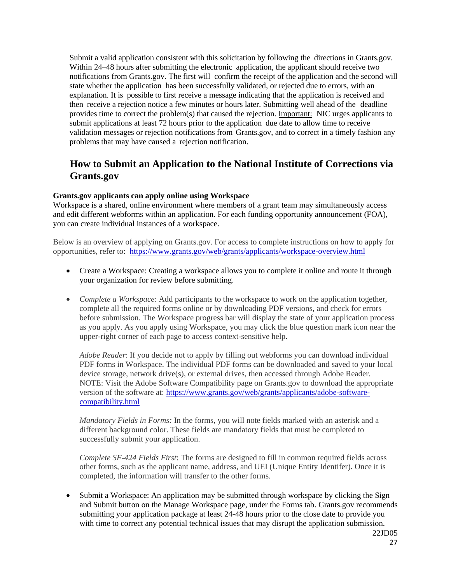Submit a valid application consistent with this solicitation by following the directions in Grants.gov. Within 24–48 hours after submitting the electronic application, the applicant should receive two notifications from Grants.gov. The first will confirm the receipt of the application and the second will state whether the application has been successfully validated, or rejected due to errors, with an explanation. It is possible to first receive a message indicating that the application is received and then receive a rejection notice a few minutes or hours later. Submitting well ahead of the deadline provides time to correct the problem(s) that caused the rejection. Important: NIC urges applicants to submit applications at least 72 hours prior to the application due date to allow time to receive validation messages or rejection notifications from Grants.gov, and to correct in a timely fashion any problems that may have caused a rejection notification.

# <span id="page-26-0"></span>**How to Submit an Application to the National Institute of Corrections via Grants.gov**

#### <span id="page-26-1"></span>**Grants.gov applicants can apply online using Workspace**

Workspace is a shared, online environment where members of a grant team may simultaneously access and edit different webforms within an application. For each funding opportunity announcement (FOA), you can create individual instances of a workspace.

Below is an overview of applying on Grants.gov. For access to complete instructions on how to apply for opportunities, refer to: <https://www.grants.gov/web/grants/applicants/workspace-overview.html>

- Create a Workspace: Creating a workspace allows you to complete it online and route it through your organization for review before submitting.
- *Complete a Workspace*: Add participants to the workspace to work on the application together, complete all the required forms online or by downloading PDF versions, and check for errors before submission. The Workspace progress bar will display the state of your application process as you apply. As you apply using Workspace, you may click the blue question mark icon near the upper-right corner of each page to access context-sensitive help.

*Adobe Reader*: If you decide not to apply by filling out webforms you can download individual PDF forms in Workspace. The individual PDF forms can be downloaded and saved to your local device storage, network drive(s), or external drives, then accessed through Adobe Reader. NOTE: Visit the Adobe Software Compatibility page on Grants.gov to download the appropriate version of the software at: [https://www.grants.gov/web/grants/applicants/adobe-software](https://www.grants.gov/web/grants/applicants/adobe-software-compatibility.html)[compatibility.html](https://www.grants.gov/web/grants/applicants/adobe-software-compatibility.html)

*Mandatory Fields in Forms:* In the forms, you will note fields marked with an asterisk and a different background color. These fields are mandatory fields that must be completed to successfully submit your application.

*Complete SF-424 Fields First*: The forms are designed to fill in common required fields across other forms, such as the applicant name, address, and UEI (Unique Entity Identifer). Once it is completed, the information will transfer to the other forms.

• Submit a Workspace: An application may be submitted through workspace by clicking the Sign and Submit button on the Manage Workspace page, under the Forms tab. Grants.gov recommends submitting your application package at least 24-48 hours prior to the close date to provide you with time to correct any potential technical issues that may disrupt the application submission.

> 22JD05 27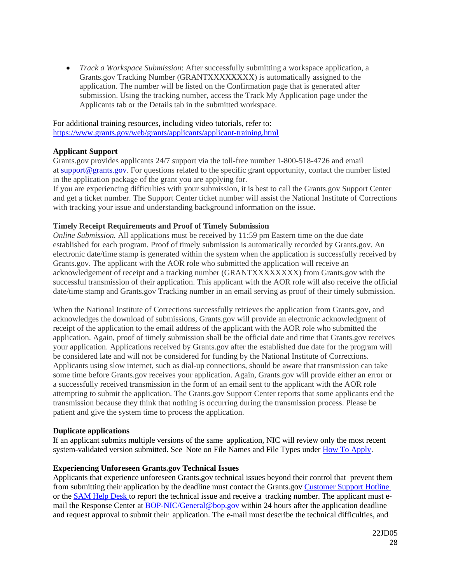• *Track a Workspace Submission*: After successfully submitting a workspace application, a Grants.gov Tracking Number (GRANTXXXXXXXX) is automatically assigned to the application. The number will be listed on the Confirmation page that is generated after submission. Using the tracking number, access the Track My Application page under the Applicants tab or the Details tab in the submitted workspace.

For additional training resources, including video tutorials, refer to: <https://www.grants.gov/web/grants/applicants/applicant-training.html>

### <span id="page-27-0"></span>**Applicant Support**

Grants.gov provides applicants 24/7 support via the toll-free number 1-800-518-4726 and email at [support@grants.gov.](mailto:support@grants.gov) For questions related to the specific grant opportunity, contact the number listed in the application package of the grant you are applying for.

If you are experiencing difficulties with your submission, it is best to call the Grants.gov Support Center and get a ticket number. The Support Center ticket number will assist the National Institute of Corrections with tracking your issue and understanding background information on the issue.

#### <span id="page-27-1"></span>**Timely Receipt Requirements and Proof of Timely Submission**

*Online Submission.* All applications must be received by 11:59 pm Eastern time on the due date established for each program. Proof of timely submission is automatically recorded by Grants.gov. An electronic date/time stamp is generated within the system when the application is successfully received by Grants.gov. The applicant with the AOR role who submitted the application will receive an acknowledgement of receipt and a tracking number (GRANTXXXXXXXX) from Grants.gov with the successful transmission of their application. This applicant with the AOR role will also receive the official date/time stamp and Grants.gov Tracking number in an email serving as proof of their timely submission.

When the National Institute of Corrections successfully retrieves the application from Grants.gov, and acknowledges the download of submissions, Grants.gov will provide an electronic acknowledgment of receipt of the application to the email address of the applicant with the AOR role who submitted the application. Again, proof of timely submission shall be the official date and time that Grants.gov receives your application. Applications received by Grants.gov after the established due date for the program will be considered late and will not be considered for funding by the National Institute of Corrections. Applicants using slow internet, such as dial-up connections, should be aware that transmission can take some time before Grants.gov receives your application. Again, Grants.gov will provide either an error or a successfully received transmission in the form of an email sent to the applicant with the AOR role attempting to submit the application. The Grants.gov Support Center reports that some applicants end the transmission because they think that nothing is occurring during the transmission process. Please be patient and give the system time to process the application.

#### <span id="page-27-2"></span>**Duplicate applications**

If an applicant submits multiple versions of the same application, NIC will review only the most recent system-validated version submitted. See Note on File Names and File Types under How To [Apply.](#page-23-0)

## <span id="page-27-3"></span>**Experiencing Unforeseen Grants.gov Technical Issues**

Applicants that experience unforeseen Grants.gov technical issues beyond their control that prevent them from submitting their application by the deadline must contact the Grants.gov Customer [Support Hotline](https://www.grants.gov/web/grants/support.html) or the [SAM](https://sam.gov/content/help) Help Desk to report the technical issue and receive a tracking number. The applicant must email the Response Center at [BOP-NIC/General@bop.gov](mailto:BOP-NIC/General@bop.gov) within 24 hours after the application deadline and request approval to submit their application. The e-mail must describe the technical difficulties, and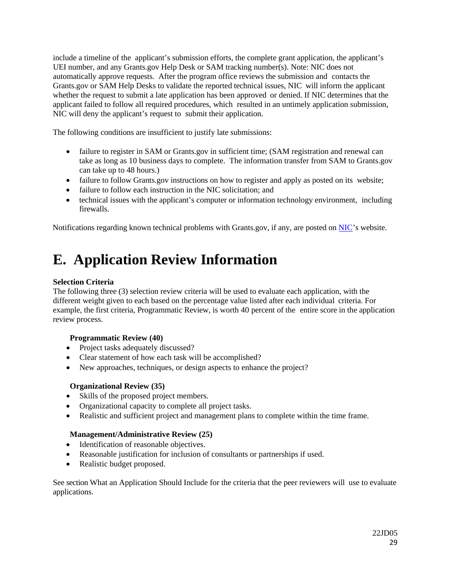include a timeline of the applicant's submission efforts, the complete grant application, the applicant's UEI number, and any Grants.gov Help Desk or SAM tracking number(s). Note: NIC does not automatically approve requests. After the program office reviews the submission and contacts the Grants.gov or SAM Help Desks to validate the reported technical issues, NIC will inform the applicant whether the request to submit a late application has been approved or denied. If NIC determines that the applicant failed to follow all required procedures, which resulted in an untimely application submission, NIC will deny the applicant's request to submit their application.

The following conditions are insufficient to justify late submissions:

- failure to register in SAM or Grants.gov in sufficient time; (SAM registration and renewal can take as long as 10 business days to complete. The information transfer from SAM to Grants.gov can take up to 48 hours.)
- failure to follow Grants.gov instructions on how to register and apply as posted on its website;
- failure to follow each instruction in the NIC solicitation; and
- technical issues with the applicant's computer or information technology environment, including firewalls.

Notifications regarding known technical problems with Grants.gov, if any, are posted on [NIC'](https://www.nicic.gov/)s website.

# <span id="page-28-0"></span>**E. Application Review Information**

### <span id="page-28-1"></span>**Selection Criteria**

The following three (3) selection review criteria will be used to evaluate each application, with the different weight given to each based on the percentage value listed after each individual criteria. For example, the first criteria, Programmatic Review, is worth 40 percent of the entire score in the application review process.

## <span id="page-28-2"></span>**Programmatic Review (40)**

- Project tasks adequately discussed?
- Clear statement of how each task will be accomplished?
- New approaches, techniques, or design aspects to enhance the project?

#### <span id="page-28-3"></span>**Organizational Review (35)**

- Skills of the proposed project members.
- Organizational capacity to complete all project tasks.
- Realistic and sufficient project and management plans to complete within the time frame.

#### <span id="page-28-4"></span>**Management/Administrative Review (25)**

- Identification of reasonable objectives.
- Reasonable justification for inclusion of consultants or partnerships if used.
- Realistic budget proposed.

See section What an Application Should Include for the criteria that the peer reviewers will use to evaluate applications.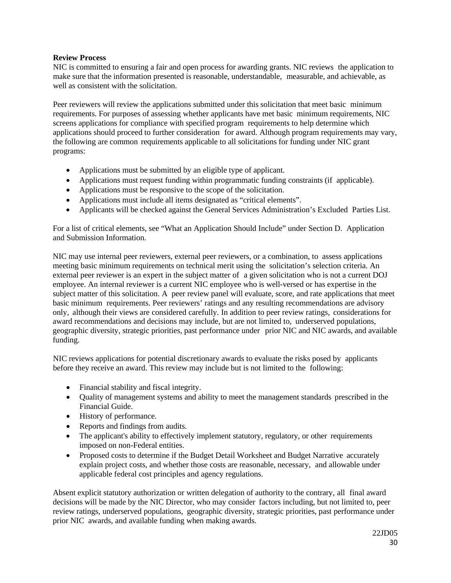### <span id="page-29-0"></span>**Review Process**

NIC is committed to ensuring a fair and open process for awarding grants. NIC reviews the application to make sure that the information presented is reasonable, understandable, measurable, and achievable, as well as consistent with the solicitation.

Peer reviewers will review the applications submitted under this solicitation that meet basic minimum requirements. For purposes of assessing whether applicants have met basic minimum requirements, NIC screens applications for compliance with specified program requirements to help determine which applications should proceed to further consideration for award. Although program requirements may vary, the following are common requirements applicable to all solicitations for funding under NIC grant programs:

- Applications must be submitted by an eligible type of applicant.
- Applications must request funding within programmatic funding constraints (if applicable).
- Applications must be responsive to the scope of the solicitation.
- Applications must include all items designated as "critical elements".
- Applicants will be checked against the General Services Administration's Excluded Parties List.

For a list of critical elements, see "What an Application Should Include" under Section D. Application and Submission Information.

NIC may use internal peer reviewers, external peer reviewers, or a combination, to assess applications meeting basic minimum requirements on technical merit using the solicitation's selection criteria. An external peer reviewer is an expert in the subject matter of a given solicitation who is not a current DOJ employee. An internal reviewer is a current NIC employee who is well-versed or has expertise in the subject matter of this solicitation. A peer review panel will evaluate, score, and rate applications that meet basic minimum requirements. Peer reviewers' ratings and any resulting recommendations are advisory only, although their views are considered carefully. In addition to peer review ratings, considerations for award recommendations and decisions may include, but are not limited to, underserved populations, geographic diversity, strategic priorities, past performance under prior NIC and NIC awards, and available funding.

NIC reviews applications for potential discretionary awards to evaluate the risks posed by applicants before they receive an award. This review may include but is not limited to the following:

- Financial stability and fiscal integrity.
- Quality of management systems and ability to meet the management standards prescribed in the Financial Guide.
- History of performance.
- Reports and findings from audits.
- The applicant's ability to effectively implement statutory, regulatory, or other requirements imposed on non-Federal entities.
- Proposed costs to determine if the Budget Detail Worksheet and Budget Narrative accurately explain project costs, and whether those costs are reasonable, necessary, and allowable under applicable federal cost principles and agency regulations.

Absent explicit statutory authorization or written delegation of authority to the contrary, all final award decisions will be made by the NIC Director, who may consider factors including, but not limited to, peer review ratings, underserved populations, geographic diversity, strategic priorities, past performance under prior NIC awards, and available funding when making awards.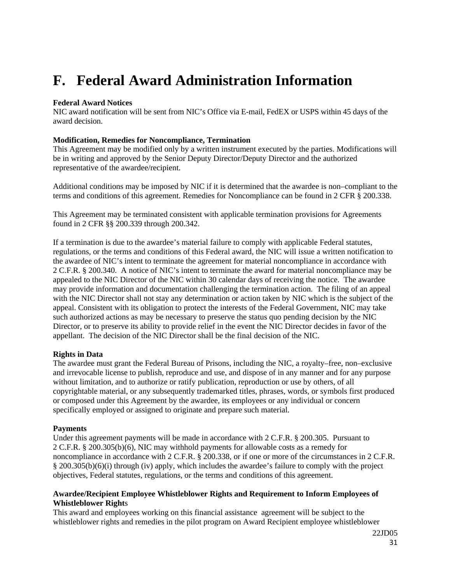# <span id="page-30-0"></span>**F. Federal Award Administration Information**

#### <span id="page-30-1"></span>**Federal Award Notices**

NIC award notification will be sent from NIC's Office via E-mail, FedEX or USPS within 45 days of the award decision.

### **Modification, Remedies for Noncompliance, Termination**

This Agreement may be modified only by a written instrument executed by the parties. Modifications will be in writing and approved by the Senior Deputy Director/Deputy Director and the authorized representative of the awardee/recipient.

Additional conditions may be imposed by NIC if it is determined that the awardee is non–compliant to the terms and conditions of this agreement. Remedies for Noncompliance can be found in 2 CFR § 200.338.

This Agreement may be terminated consistent with applicable termination provisions for Agreements found in 2 CFR §§ 200.339 through 200.342.

If a termination is due to the awardee's material failure to comply with applicable Federal statutes, regulations, or the terms and conditions of this Federal award, the NIC will issue a written notification to the awardee of NIC's intent to terminate the agreement for material noncompliance in accordance with 2 C.F.R. § 200.340. A notice of NIC's intent to terminate the award for material noncompliance may be appealed to the NIC Director of the NIC within 30 calendar days of receiving the notice. The awardee may provide information and documentation challenging the termination action. The filing of an appeal with the NIC Director shall not stay any determination or action taken by NIC which is the subject of the appeal. Consistent with its obligation to protect the interests of the Federal Government, NIC may take such authorized actions as may be necessary to preserve the status quo pending decision by the NIC Director, or to preserve its ability to provide relief in the event the NIC Director decides in favor of the appellant. The decision of the NIC Director shall be the final decision of the NIC.

#### **Rights in Data**

The awardee must grant the Federal Bureau of Prisons, including the NIC, a royalty–free, non–exclusive and irrevocable license to publish, reproduce and use, and dispose of in any manner and for any purpose without limitation, and to authorize or ratify publication, reproduction or use by others, of all copyrightable material, or any subsequently trademarked titles, phrases, words, or symbols first produced or composed under this Agreement by the awardee, its employees or any individual or concern specifically employed or assigned to originate and prepare such material.

#### **Payments**

Under this agreement payments will be made in accordance with 2 C.F.R. § 200.305. Pursuant to 2 C.F.R. § 200.305(b)(6), NIC may withhold payments for allowable costs as a remedy for noncompliance in accordance with 2 C.F.R. § 200.338, or if one or more of the circumstances in 2 C.F.R. § 200.305(b)(6)(i) through (iv) apply, which includes the awardee's failure to comply with the project objectives, Federal statutes, regulations, or the terms and conditions of this agreement.

### **Awardee/Recipient Employee Whistleblower Rights and Requirement to Inform Employees of Whistleblower Right**s

This award and employees working on this financial assistance agreement will be subject to the whistleblower rights and remedies in the pilot program on Award Recipient employee whistleblower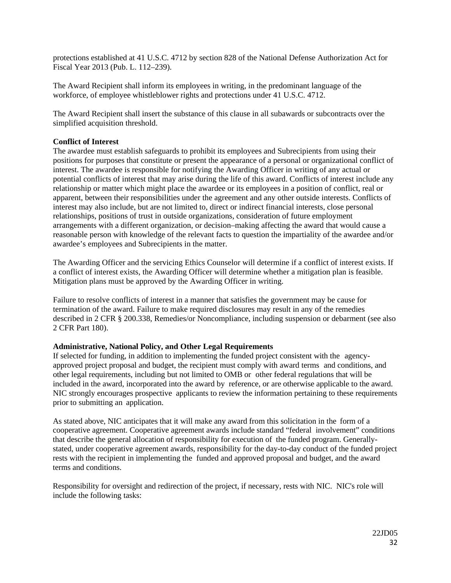protections established at 41 U.S.C. 4712 by section 828 of the National Defense Authorization Act for Fiscal Year 2013 (Pub. L. 112–239).

The Award Recipient shall inform its employees in writing, in the predominant language of the workforce, of employee whistleblower rights and protections under 41 U.S.C. 4712.

The Award Recipient shall insert the substance of this clause in all subawards or subcontracts over the simplified acquisition threshold.

#### **Conflict of Interest**

The awardee must establish safeguards to prohibit its employees and Subrecipients from using their positions for purposes that constitute or present the appearance of a personal or organizational conflict of interest. The awardee is responsible for notifying the Awarding Officer in writing of any actual or potential conflicts of interest that may arise during the life of this award. Conflicts of interest include any relationship or matter which might place the awardee or its employees in a position of conflict, real or apparent, between their responsibilities under the agreement and any other outside interests. Conflicts of interest may also include, but are not limited to, direct or indirect financial interests, close personal relationships, positions of trust in outside organizations, consideration of future employment arrangements with a different organization, or decision–making affecting the award that would cause a reasonable person with knowledge of the relevant facts to question the impartiality of the awardee and/or awardee's employees and Subrecipients in the matter.

The Awarding Officer and the servicing Ethics Counselor will determine if a conflict of interest exists. If a conflict of interest exists, the Awarding Officer will determine whether a mitigation plan is feasible. Mitigation plans must be approved by the Awarding Officer in writing.

Failure to resolve conflicts of interest in a manner that satisfies the government may be cause for termination of the award. Failure to make required disclosures may result in any of the remedies described in 2 CFR § 200.338, Remedies/or Noncompliance, including suspension or debarment (see also 2 CFR Part 180).

#### <span id="page-31-0"></span>**Administrative, National Policy, and Other Legal Requirements**

If selected for funding, in addition to implementing the funded project consistent with the agencyapproved project proposal and budget, the recipient must comply with award terms and conditions, and other legal requirements, including but not limited to OMB or other federal regulations that will be included in the award, incorporated into the award by reference, or are otherwise applicable to the award. NIC strongly encourages prospective applicants to review the information pertaining to these requirements prior to submitting an application.

As stated above, NIC anticipates that it will make any award from this solicitation in the form of a cooperative agreement. Cooperative agreement awards include standard "federal involvement" conditions that describe the general allocation of responsibility for execution of the funded program. Generallystated, under cooperative agreement awards, responsibility for the day-to-day conduct of the funded project rests with the recipient in implementing the funded and approved proposal and budget, and the award terms and conditions.

Responsibility for oversight and redirection of the project, if necessary, rests with NIC. NIC's role will include the following tasks: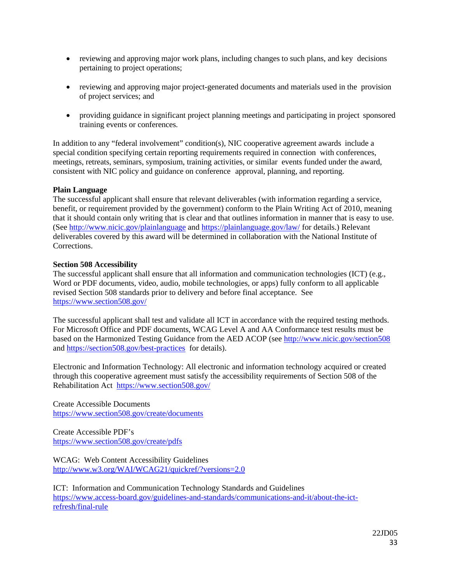- reviewing and approving major work plans, including changes to such plans, and key decisions pertaining to project operations;
- reviewing and approving major project-generated documents and materials used in the provision of project services; and
- providing guidance in significant project planning meetings and participating in project sponsored training events or conferences.

In addition to any "federal involvement" condition(s), NIC cooperative agreement awards include a special condition specifying certain reporting requirements required in connection with conferences, meetings, retreats, seminars, symposium, training activities, or similar events funded under the award, consistent with NIC policy and guidance on conference approval, planning, and reporting.

### <span id="page-32-0"></span>**Plain Language**

The successful applicant shall ensure that relevant deliverables (with information regarding a service, benefit, or requirement provided by the government) conform to the Plain Writing Act of 2010, meaning that it should contain only writing that is clear and that outlines information in manner that is easy to use. (See<http://www.nicic.gov/plainlanguage> and<https://plainlanguage.gov/law/> for details.) Relevant deliverables covered by this award will be determined in collaboration with the National Institute of Corrections.

#### <span id="page-32-1"></span>**Section 508 Accessibility**

The successful applicant shall ensure that all information and communication technologies (ICT) (e.g., Word or PDF documents, video, audio, mobile technologies, or apps) fully conform to all applicable revised Section 508 standards prior to delivery and before final acceptance. See <https://www.section508.gov/>

The successful applicant shall test and validate all ICT in accordance with the required testing methods. For Microsoft Office and PDF documents, WCAG Level A and AA Conformance test results must be based on the Harmonized Testing Guidance from the AED ACOP (see<http://www.nicic.gov/section508> and<https://section508.gov/best-practices>for details).

Electronic and Information Technology: All electronic and information technology acquired or created through this cooperative agreement must satisfy the accessibility requirements of Section 508 of the Rehabilitation Act <https://www.section508.gov/>

Create Accessible Documents <https://www.section508.gov/create/documents>

Create Accessible PDF's <https://www.section508.gov/create/pdfs>

WCAG: Web Content Accessibility Guidelines <http://www.w3.org/WAI/WCAG21/quickref/?versions=2.0>

ICT: Information and Communication Technology Standards and Guidelines [https://www.access-board.gov/guidelines-and-standards/communications-and-it/about-the-ict](https://www.access-board.gov/guidelines-and-standards/communications-and-it/about-the-ict-refresh/final-rule)[refresh/final-rule](https://www.access-board.gov/guidelines-and-standards/communications-and-it/about-the-ict-refresh/final-rule)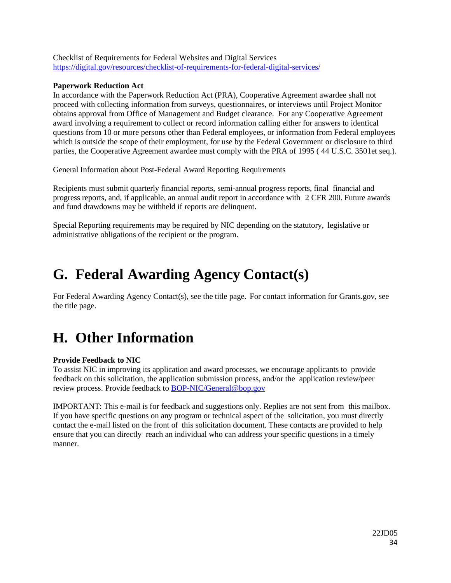Checklist of Requirements for Federal Websites and Digital Services <https://digital.gov/resources/checklist-of-requirements-for-federal-digital-services/>

### <span id="page-33-0"></span>**Paperwork Reduction Act**

In accordance with the Paperwork Reduction Act (PRA), Cooperative Agreement awardee shall not proceed with collecting information from surveys, questionnaires, or interviews until Project Monitor obtains approval from Office of Management and Budget clearance. For any Cooperative Agreement award involving a requirement to collect or record information calling either for answers to identical questions from 10 or more persons other than Federal employees, or information from Federal employees which is outside the scope of their employment, for use by the Federal Government or disclosure to third parties, the Cooperative Agreement awardee must comply with the PRA of 1995 ( 44 U.S.C. 3501et seq.).

General Information about Post-Federal Award Reporting Requirements

Recipients must submit quarterly financial reports, semi-annual progress reports, final financial and progress reports, and, if applicable, an annual audit report in accordance with 2 CFR 200. Future awards and fund drawdowns may be withheld if reports are delinquent.

Special Reporting requirements may be required by NIC depending on the statutory, legislative or administrative obligations of the recipient or the program.

# <span id="page-33-1"></span>**G. Federal Awarding Agency Contact(s)**

For Federal Awarding Agency Contact(s), see the title page. For contact information for Grants.gov, see the title page.

# <span id="page-33-2"></span>**H. Other Information**

## <span id="page-33-3"></span>**Provide Feedback to NIC**

To assist NIC in improving its application and award processes, we encourage applicants to provide feedback on this solicitation, the application submission process, and/or the application review/peer review process. Provide feedback to [BOP-NIC/General@bop.gov](mailto:BOP-NIC/General@bop.gov)

IMPORTANT: This e-mail is for feedback and suggestions only. Replies are not sent from this mailbox. If you have specific questions on any program or technical aspect of the solicitation, you must directly contact the e-mail listed on the front of this solicitation document. These contacts are provided to help ensure that you can directly reach an individual who can address your specific questions in a timely manner.